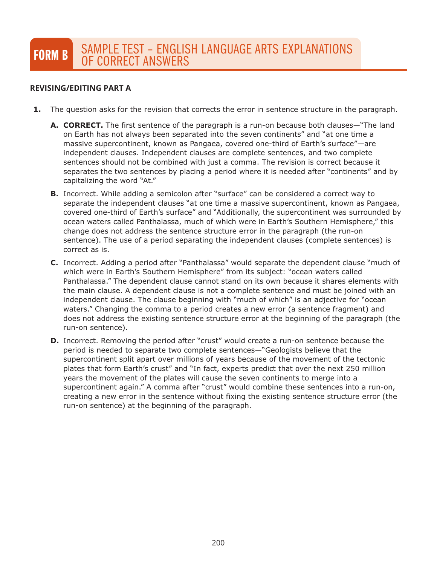# **REVISING/EDITING PART A REVISING/EDITING PART A**

- **1.** The question asks for the revision that corrects the error in sentence structure in the paragraph.
	- **A. CORRECT.** The first sentence of the paragraph is a run-on because both clauses—"The land on Earth has not always been separated into the seven continents" and "at one time a massive supercontinent, known as Pangaea, covered one-third of Earth's surface"—are independent clauses. Independent clauses are complete sentences, and two complete sentences should not be combined with just a comma. The revision is correct because it separates the two sentences by placing a period where it is needed after "continents" and by capitalizing the word "At."
	- **B.** Incorrect. While adding a semicolon after "surface" can be considered a correct way to separate the independent clauses "at one time a massive supercontinent, known as Pangaea, covered one-third of Earth's surface" and "Additionally, the supercontinent was surrounded by ocean waters called Panthalassa, much of which were in Earth's Southern Hemisphere," this change does not address the sentence structure error in the paragraph (the run-on sentence). The use of a period separating the independent clauses (complete sentences) is correct as is.
	- **C.** Incorrect. Adding a period after "Panthalassa" would separate the dependent clause "much of which were in Earth's Southern Hemisphere" from its subject: "ocean waters called Panthalassa." The dependent clause cannot stand on its own because it shares elements with the main clause. A dependent clause is not a complete sentence and must be joined with an independent clause. The clause beginning with "much of which" is an adjective for "ocean waters." Changing the comma to a period creates a new error (a sentence fragment) and does not address the existing sentence structure error at the beginning of the paragraph (the run-on sentence).
	- **D.** Incorrect. Removing the period after "crust" would create a run-on sentence because the period is needed to separate two complete sentences—"Geologists believe that the supercontinent split apart over millions of years because of the movement of the tectonic plates that form Earth's crust" and "In fact, experts predict that over the next 250 million years the movement of the plates will cause the seven continents to merge into a supercontinent again." A comma after "crust" would combine these sentences into a run-on, creating a new error in the sentence without fixing the existing sentence structure error (the run-on sentence) at the beginning of the paragraph.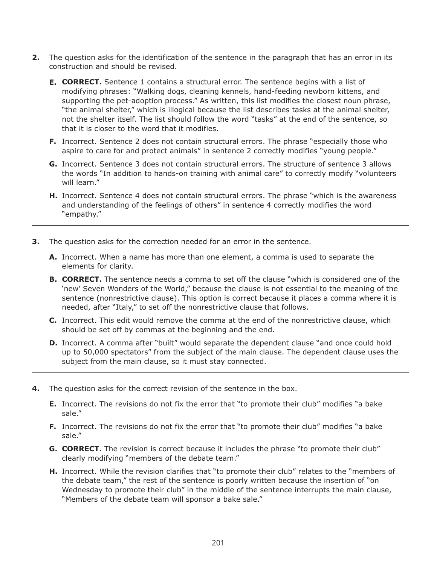- **2.** The question asks for the identification of the sentence in the paragraph that has an error in its construction and should be revised.
	- **E. CORRECT.** Sentence 1 contains a structural error. The sentence begins with a list of modifying phrases: "Walking dogs, cleaning kennels, hand-feeding newborn kittens, and supporting the pet-adoption process." As written, this list modifies the closest noun phrase, "the animal shelter," which is illogical because the list describes tasks at the animal shelter, not the shelter itself. The list should follow the word "tasks" at the end of the sentence, so that it is closer to the word that it modifies.
	- **F.** Incorrect. Sentence 2 does not contain structural errors. The phrase "especially those who aspire to care for and protect animals" in sentence 2 correctly modifies "young people."
	- **G.** Incorrect. Sentence 3 does not contain structural errors. The structure of sentence 3 allows the words "In addition to hands-on training with animal care" to correctly modify "volunteers will learn."
	- **H.** Incorrect. Sentence 4 does not contain structural errors. The phrase "which is the awareness and understanding of the feelings of others" in sentence 4 correctly modifies the word "empathy."
- **3.** The question asks for the correction needed for an error in the sentence.
	- **A.** Incorrect. When a name has more than one element, a comma is used to separate the elements for clarity.
	- **B. CORRECT.** The sentence needs a comma to set off the clause "which is considered one of the 'new' Seven Wonders of the World," because the clause is not essential to the meaning of the sentence (nonrestrictive clause). This option is correct because it places a comma where it is needed, after "Italy," to set off the nonrestrictive clause that follows.
	- **C.** Incorrect. This edit would remove the comma at the end of the nonrestrictive clause, which should be set off by commas at the beginning and the end.
	- **D.** Incorrect. A comma after "built" would separate the dependent clause "and once could hold up to 50,000 spectators" from the subject of the main clause. The dependent clause uses the subject from the main clause, so it must stay connected.
- **4.** The question asks for the correct revision of the sentence in the box.
	- **E.** Incorrect. The revisions do not fix the error that "to promote their club" modifies "a bake sale."
	- **F.** Incorrect. The revisions do not fix the error that "to promote their club" modifies "a bake sale."
	- **G. CORRECT.** The revision is correct because it includes the phrase "to promote their club" clearly modifying "members of the debate team."
	- **H.** Incorrect. While the revision clarifies that "to promote their club" relates to the "members of the debate team," the rest of the sentence is poorly written because the insertion of "on Wednesday to promote their club" in the middle of the sentence interrupts the main clause, "Members of the debate team will sponsor a bake sale."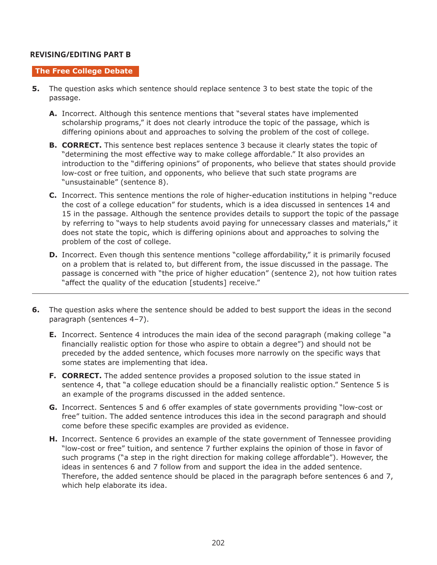# **REVISING/EDITING PART B REVISING/EDITING PART B**

#### **The Free College Debate**

- **5.** The question asks which sentence should replace sentence 3 to best state the topic of the passage.
	- **A.** Incorrect. Although this sentence mentions that "several states have implemented scholarship programs," it does not clearly introduce the topic of the passage, which is differing opinions about and approaches to solving the problem of the cost of college.
	- **B. CORRECT.** This sentence best replaces sentence 3 because it clearly states the topic of "determining the most effective way to make college affordable." It also provides an introduction to the "differing opinions" of proponents, who believe that states should provide low-cost or free tuition, and opponents, who believe that such state programs are "unsustainable" (sentence 8).
	- **C.** Incorrect. This sentence mentions the role of higher-education institutions in helping "reduce the cost of a college education" for students, which is a idea discussed in sentences 14 and 15 in the passage. Although the sentence provides details to support the topic of the passage by referring to "ways to help students avoid paying for unnecessary classes and materials," it does not state the topic, which is differing opinions about and approaches to solving the problem of the cost of college.
	- **D.** Incorrect. Even though this sentence mentions "college affordability," it is primarily focused on a problem that is related to, but different from, the issue discussed in the passage. The passage is concerned with "the price of higher education" (sentence 2), not how tuition rates "affect the quality of the education [students] receive."
- **6.** The question asks where the sentence should be added to best support the ideas in the second paragraph (sentences 4–7).
	- **E.** Incorrect. Sentence 4 introduces the main idea of the second paragraph (making college "a financially realistic option for those who aspire to obtain a degree") and should not be preceded by the added sentence, which focuses more narrowly on the specific ways that some states are implementing that idea.
	- **F. CORRECT.** The added sentence provides a proposed solution to the issue stated in sentence 4, that "a college education should be a financially realistic option." Sentence 5 is an example of the programs discussed in the added sentence.
	- **G.** Incorrect. Sentences 5 and 6 offer examples of state governments providing "low-cost or free" tuition. The added sentence introduces this idea in the second paragraph and should come before these specific examples are provided as evidence.
	- **H.** Incorrect. Sentence 6 provides an example of the state government of Tennessee providing "low-cost or free" tuition, and sentence 7 further explains the opinion of those in favor of such programs ("a step in the right direction for making college affordable"). However, the ideas in sentences 6 and 7 follow from and support the idea in the added sentence. Therefore, the added sentence should be placed in the paragraph before sentences 6 and 7, which help elaborate its idea.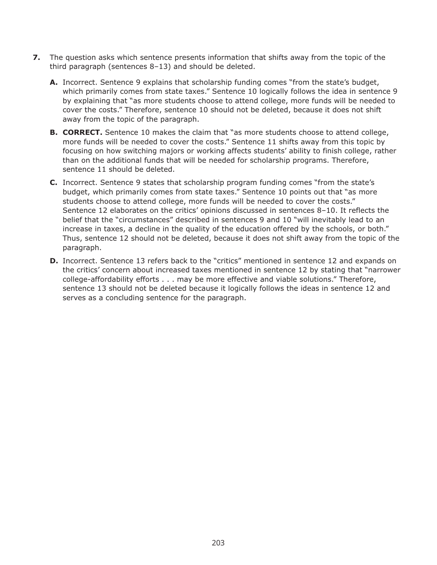- **7.** The question asks which sentence presents information that shifts away from the topic of the third paragraph (sentences 8–13) and should be deleted.
	- **A.** Incorrect. Sentence 9 explains that scholarship funding comes "from the state's budget, which primarily comes from state taxes." Sentence 10 logically follows the idea in sentence 9 by explaining that "as more students choose to attend college, more funds will be needed to cover the costs." Therefore, sentence 10 should not be deleted, because it does not shift away from the topic of the paragraph.
	- **B. CORRECT.** Sentence 10 makes the claim that "as more students choose to attend college, more funds will be needed to cover the costs." Sentence 11 shifts away from this topic by focusing on how switching majors or working affects students' ability to finish college, rather than on the additional funds that will be needed for scholarship programs. Therefore, sentence 11 should be deleted.
	- **C.** Incorrect. Sentence 9 states that scholarship program funding comes "from the state's budget, which primarily comes from state taxes." Sentence 10 points out that "as more students choose to attend college, more funds will be needed to cover the costs." Sentence 12 elaborates on the critics' opinions discussed in sentences 8–10. It reflects the belief that the "circumstances" described in sentences 9 and 10 "will inevitably lead to an increase in taxes, a decline in the quality of the education offered by the schools, or both." Thus, sentence 12 should not be deleted, because it does not shift away from the topic of the paragraph.
	- **D.** Incorrect. Sentence 13 refers back to the "critics" mentioned in sentence 12 and expands on the critics' concern about increased taxes mentioned in sentence 12 by stating that "narrower college-affordability efforts . . . may be more effective and viable solutions." Therefore, sentence 13 should not be deleted because it logically follows the ideas in sentence 12 and serves as a concluding sentence for the paragraph.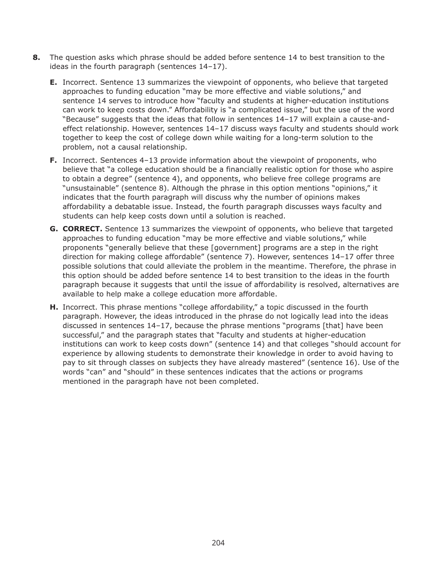- **8.** The question asks which phrase should be added before sentence 14 to best transition to the ideas in the fourth paragraph (sentences 14–17).
	- **E.** Incorrect. Sentence 13 summarizes the viewpoint of opponents, who believe that targeted approaches to funding education "may be more effective and viable solutions," and sentence 14 serves to introduce how "faculty and students at higher-education institutions can work to keep costs down." Affordability is "a complicated issue," but the use of the word "Because" suggests that the ideas that follow in sentences 14–17 will explain a cause-andeffect relationship. However, sentences 14–17 discuss ways faculty and students should work together to keep the cost of college down while waiting for a long-term solution to the problem, not a causal relationship.
	- **F.** Incorrect. Sentences 4–13 provide information about the viewpoint of proponents, who believe that "a college education should be a financially realistic option for those who aspire to obtain a degree" (sentence 4), and opponents, who believe free college programs are "unsustainable" (sentence 8). Although the phrase in this option mentions "opinions," it indicates that the fourth paragraph will discuss why the number of opinions makes affordability a debatable issue. Instead, the fourth paragraph discusses ways faculty and students can help keep costs down until a solution is reached.
	- **G. CORRECT.** Sentence 13 summarizes the viewpoint of opponents, who believe that targeted approaches to funding education "may be more effective and viable solutions," while proponents "generally believe that these [government] programs are a step in the right direction for making college affordable" (sentence 7). However, sentences 14–17 offer three possible solutions that could alleviate the problem in the meantime. Therefore, the phrase in this option should be added before sentence 14 to best transition to the ideas in the fourth paragraph because it suggests that until the issue of affordability is resolved, alternatives are available to help make a college education more affordable.
	- **H.** Incorrect. This phrase mentions "college affordability," a topic discussed in the fourth paragraph. However, the ideas introduced in the phrase do not logically lead into the ideas discussed in sentences 14–17, because the phrase mentions "programs [that] have been successful," and the paragraph states that "faculty and students at higher-education institutions can work to keep costs down" (sentence 14) and that colleges "should account for experience by allowing students to demonstrate their knowledge in order to avoid having to pay to sit through classes on subjects they have already mastered" (sentence 16). Use of the words "can" and "should" in these sentences indicates that the actions or programs mentioned in the paragraph have not been completed.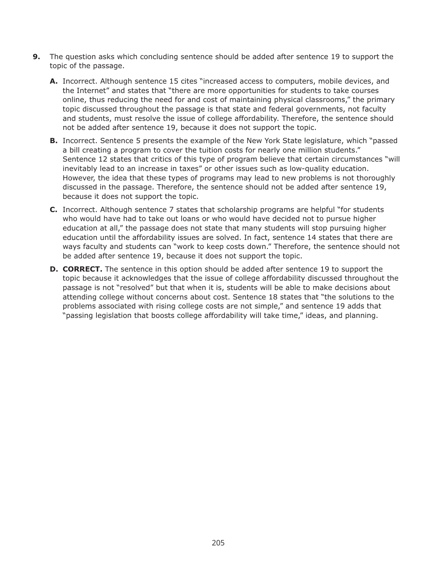- **9.** The question asks which concluding sentence should be added after sentence 19 to support the topic of the passage.
	- **A.** Incorrect. Although sentence 15 cites "increased access to computers, mobile devices, and the Internet" and states that "there are more opportunities for students to take courses online, thus reducing the need for and cost of maintaining physical classrooms," the primary topic discussed throughout the passage is that state and federal governments, not faculty and students, must resolve the issue of college affordability. Therefore, the sentence should not be added after sentence 19, because it does not support the topic.
	- **B.** Incorrect. Sentence 5 presents the example of the New York State legislature, which "passed a bill creating a program to cover the tuition costs for nearly one million students." Sentence 12 states that critics of this type of program believe that certain circumstances "will inevitably lead to an increase in taxes" or other issues such as low-quality education. However, the idea that these types of programs may lead to new problems is not thoroughly discussed in the passage. Therefore, the sentence should not be added after sentence 19, because it does not support the topic.
	- **C.** Incorrect. Although sentence 7 states that scholarship programs are helpful "for students who would have had to take out loans or who would have decided not to pursue higher education at all," the passage does not state that many students will stop pursuing higher education until the affordability issues are solved. In fact, sentence 14 states that there are ways faculty and students can "work to keep costs down." Therefore, the sentence should not be added after sentence 19, because it does not support the topic.
	- **D. CORRECT.** The sentence in this option should be added after sentence 19 to support the topic because it acknowledges that the issue of college affordability discussed throughout the passage is not "resolved" but that when it is, students will be able to make decisions about attending college without concerns about cost. Sentence 18 states that "the solutions to the problems associated with rising college costs are not simple," and sentence 19 adds that "passing legislation that boosts college affordability will take time," ideas, and planning.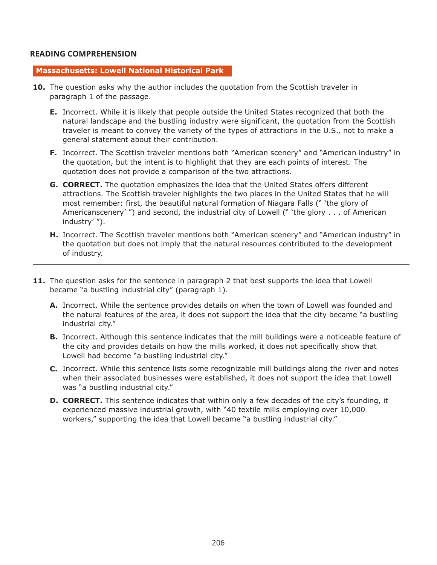# **READING COMPREHENSION READING COMPREHENSION**

#### **Massachusetts: Lowell National Historical Park**

- **10.** The question asks why the author includes the quotation from the Scottish traveler in paragraph 1 of the passage.
	- **E.** Incorrect. While it is likely that people outside the United States recognized that both the natural landscape and the bustling industry were significant, the quotation from the Scottish traveler is meant to convey the variety of the types of attractions in the U.S., not to make a general statement about their contribution.
	- **F.** Incorrect. The Scottish traveler mentions both "American scenery" and "American industry" in the quotation, but the intent is to highlight that they are each points of interest. The quotation does not provide a comparison of the two attractions.
	- **G. CORRECT.** The quotation emphasizes the idea that the United States offers different attractions. The Scottish traveler highlights the two places in the United States that he will most remember: first, the beautiful natural formation of Niagara Falls (" 'the glory of Americanscenery' ") and second, the industrial city of Lowell (" 'the glory . . . of American industry' ").
	- **H.** Incorrect. The Scottish traveler mentions both "American scenery" and "American industry" in the quotation but does not imply that the natural resources contributed to the development of industry.
- **11.** The question asks for the sentence in paragraph 2 that best supports the idea that Lowell became "a bustling industrial city" (paragraph 1).
	- **A.** Incorrect. While the sentence provides details on when the town of Lowell was founded and the natural features of the area, it does not support the idea that the city became "a bustling industrial city."
	- **B.** Incorrect. Although this sentence indicates that the mill buildings were a noticeable feature of the city and provides details on how the mills worked, it does not specifically show that Lowell had become "a bustling industrial city."
	- **C.** Incorrect. While this sentence lists some recognizable mill buildings along the river and notes when their associated businesses were established, it does not support the idea that Lowell was "a bustling industrial city."
	- **D. CORRECT.** This sentence indicates that within only a few decades of the city's founding, it experienced massive industrial growth, with "40 textile mills employing over 10,000 workers," supporting the idea that Lowell became "a bustling industrial city."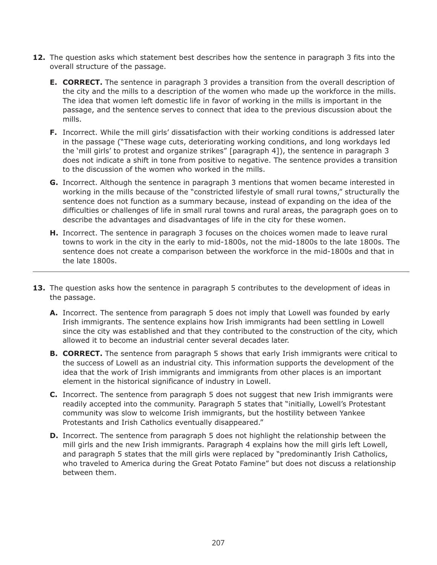- **12.** The question asks which statement best describes how the sentence in paragraph 3 fits into the overall structure of the passage.
	- **E. CORRECT.** The sentence in paragraph 3 provides a transition from the overall description of the city and the mills to a description of the women who made up the workforce in the mills. The idea that women left domestic life in favor of working in the mills is important in the passage, and the sentence serves to connect that idea to the previous discussion about the mills.
	- **F.** Incorrect. While the mill girls' dissatisfaction with their working conditions is addressed later in the passage ("These wage cuts, deteriorating working conditions, and long workdays led the 'mill girls' to protest and organize strikes" [paragraph 4]), the sentence in paragraph 3 does not indicate a shift in tone from positive to negative. The sentence provides a transition to the discussion of the women who worked in the mills.
	- **G.** Incorrect. Although the sentence in paragraph 3 mentions that women became interested in working in the mills because of the "constricted lifestyle of small rural towns," structurally the sentence does not function as a summary because, instead of expanding on the idea of the difficulties or challenges of life in small rural towns and rural areas, the paragraph goes on to describe the advantages and disadvantages of life in the city for these women.
	- **H.** Incorrect. The sentence in paragraph 3 focuses on the choices women made to leave rural towns to work in the city in the early to mid-1800s, not the mid-1800s to the late 1800s. The sentence does not create a comparison between the workforce in the mid-1800s and that in the late 1800s.
- **13.** The question asks how the sentence in paragraph 5 contributes to the development of ideas in the passage.
	- **A.** Incorrect. The sentence from paragraph 5 does not imply that Lowell was founded by early Irish immigrants. The sentence explains how Irish immigrants had been settling in Lowell since the city was established and that they contributed to the construction of the city, which allowed it to become an industrial center several decades later.
	- **B. CORRECT.** The sentence from paragraph 5 shows that early Irish immigrants were critical to the success of Lowell as an industrial city. This information supports the development of the idea that the work of Irish immigrants and immigrants from other places is an important element in the historical significance of industry in Lowell.
	- **C.** Incorrect. The sentence from paragraph 5 does not suggest that new Irish immigrants were readily accepted into the community. Paragraph 5 states that "initially, Lowell's Protestant community was slow to welcome Irish immigrants, but the hostility between Yankee Protestants and Irish Catholics eventually disappeared."
	- **D.** Incorrect. The sentence from paragraph 5 does not highlight the relationship between the mill girls and the new Irish immigrants. Paragraph 4 explains how the mill girls left Lowell, and paragraph 5 states that the mill girls were replaced by "predominantly Irish Catholics, who traveled to America during the Great Potato Famine" but does not discuss a relationship between them.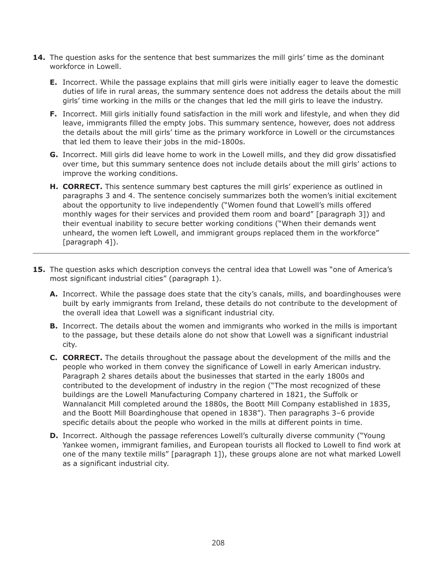- **14.** The question asks for the sentence that best summarizes the mill girls' time as the dominant workforce in Lowell.
	- **E.** Incorrect. While the passage explains that mill girls were initially eager to leave the domestic duties of life in rural areas, the summary sentence does not address the details about the mill girls' time working in the mills or the changes that led the mill girls to leave the industry.
	- **F.** Incorrect. Mill girls initially found satisfaction in the mill work and lifestyle, and when they did leave, immigrants filled the empty jobs. This summary sentence, however, does not address the details about the mill girls' time as the primary workforce in Lowell or the circumstances that led them to leave their jobs in the mid-1800s.
	- **G.** Incorrect. Mill girls did leave home to work in the Lowell mills, and they did grow dissatisfied over time, but this summary sentence does not include details about the mill girls' actions to improve the working conditions.
	- **H. CORRECT.** This sentence summary best captures the mill girls' experience as outlined in paragraphs 3 and 4. The sentence concisely summarizes both the women's initial excitement about the opportunity to live independently ("Women found that Lowell's mills offered monthly wages for their services and provided them room and board" [paragraph 3]) and their eventual inability to secure better working conditions ("When their demands went unheard, the women left Lowell, and immigrant groups replaced them in the workforce" [paragraph 4]).
- **15.** The question asks which description conveys the central idea that Lowell was "one of America's most significant industrial cities" (paragraph 1).
	- **A.** Incorrect. While the passage does state that the city's canals, mills, and boardinghouses were built by early immigrants from Ireland, these details do not contribute to the development of the overall idea that Lowell was a significant industrial city.
	- **B.** Incorrect. The details about the women and immigrants who worked in the mills is important to the passage, but these details alone do not show that Lowell was a significant industrial city.
	- **C. CORRECT.** The details throughout the passage about the development of the mills and the people who worked in them convey the significance of Lowell in early American industry. Paragraph 2 shares details about the businesses that started in the early 1800s and contributed to the development of industry in the region ("The most recognized of these buildings are the Lowell Manufacturing Company chartered in 1821, the Suffolk or Wannalancit Mill completed around the 1880s, the Boott Mill Company established in 1835, and the Boott Mill Boardinghouse that opened in 1838"). Then paragraphs 3–6 provide specific details about the people who worked in the mills at different points in time.
	- **D.** Incorrect. Although the passage references Lowell's culturally diverse community ("Young Yankee women, immigrant families, and European tourists all flocked to Lowell to find work at one of the many textile mills" [paragraph 1]), these groups alone are not what marked Lowell as a significant industrial city.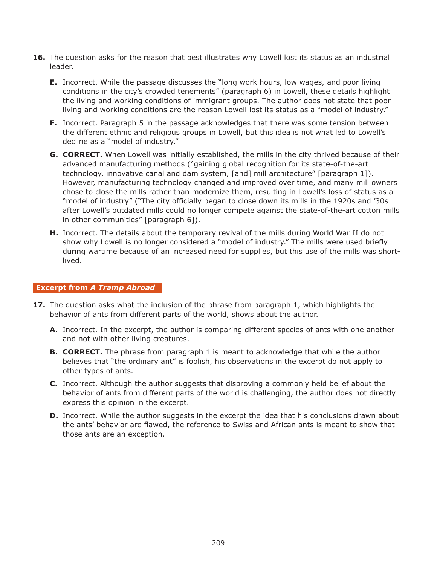- **16.** The question asks for the reason that best illustrates why Lowell lost its status as an industrial leader.
	- **E.** Incorrect. While the passage discusses the "long work hours, low wages, and poor living conditions in the city's crowded tenements" (paragraph 6) in Lowell, these details highlight the living and working conditions of immigrant groups. The author does not state that poor living and working conditions are the reason Lowell lost its status as a "model of industry."
	- **F.** Incorrect. Paragraph 5 in the passage acknowledges that there was some tension between the different ethnic and religious groups in Lowell, but this idea is not what led to Lowell's decline as a "model of industry."
	- **G. CORRECT.** When Lowell was initially established, the mills in the city thrived because of their advanced manufacturing methods ("gaining global recognition for its state-of-the-art technology, innovative canal and dam system, [and] mill architecture" [paragraph 1]). However, manufacturing technology changed and improved over time, and many mill owners chose to close the mills rather than modernize them, resulting in Lowell's loss of status as a "model of industry" ("The city officially began to close down its mills in the 1920s and '30s after Lowell's outdated mills could no longer compete against the state-of-the-art cotton mills in other communities" [paragraph 6]).
	- **H.** Incorrect. The details about the temporary revival of the mills during World War II do not show why Lowell is no longer considered a "model of industry." The mills were used briefly during wartime because of an increased need for supplies, but this use of the mills was shortlived.

#### **Excerpt from** *A Tramp Abroad*

- **17.** The question asks what the inclusion of the phrase from paragraph 1, which highlights the behavior of ants from different parts of the world, shows about the author.
	- **A.** Incorrect. In the excerpt, the author is comparing different species of ants with one another and not with other living creatures.
	- **B. CORRECT.** The phrase from paragraph 1 is meant to acknowledge that while the author believes that "the ordinary ant" is foolish, his observations in the excerpt do not apply to other types of ants.
	- **C.** Incorrect. Although the author suggests that disproving a commonly held belief about the behavior of ants from different parts of the world is challenging, the author does not directly express this opinion in the excerpt.
	- **D.** Incorrect. While the author suggests in the excerpt the idea that his conclusions drawn about the ants' behavior are flawed, the reference to Swiss and African ants is meant to show that those ants are an exception.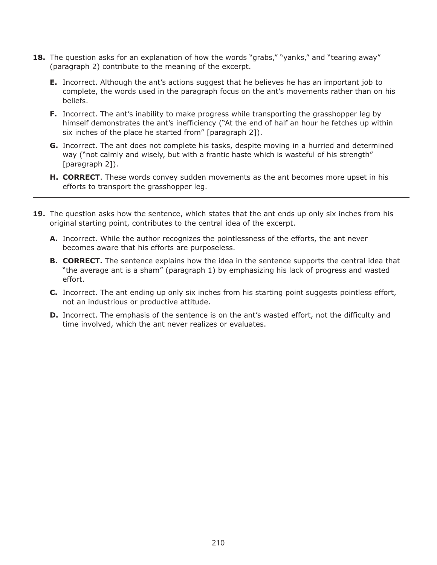- **18.** The question asks for an explanation of how the words "grabs," "yanks," and "tearing away" (paragraph 2) contribute to the meaning of the excerpt.
	- **E.** Incorrect. Although the ant's actions suggest that he believes he has an important job to complete, the words used in the paragraph focus on the ant's movements rather than on his beliefs.
	- **F.** Incorrect. The ant's inability to make progress while transporting the grasshopper leg by himself demonstrates the ant's inefficiency ("At the end of half an hour he fetches up within six inches of the place he started from" [paragraph 2]).
	- **G.** Incorrect. The ant does not complete his tasks, despite moving in a hurried and determined way ("not calmly and wisely, but with a frantic haste which is wasteful of his strength" [paragraph 2]).
	- **H. CORRECT**. These words convey sudden movements as the ant becomes more upset in his efforts to transport the grasshopper leg.
- **19.** The question asks how the sentence, which states that the ant ends up only six inches from his original starting point, contributes to the central idea of the excerpt.
	- **A.** Incorrect. While the author recognizes the pointlessness of the efforts, the ant never becomes aware that his efforts are purposeless.
	- **B. CORRECT.** The sentence explains how the idea in the sentence supports the central idea that "the average ant is a sham" (paragraph 1) by emphasizing his lack of progress and wasted effort.
	- **C.** Incorrect. The ant ending up only six inches from his starting point suggests pointless effort, not an industrious or productive attitude.
	- **D.** Incorrect. The emphasis of the sentence is on the ant's wasted effort, not the difficulty and time involved, which the ant never realizes or evaluates.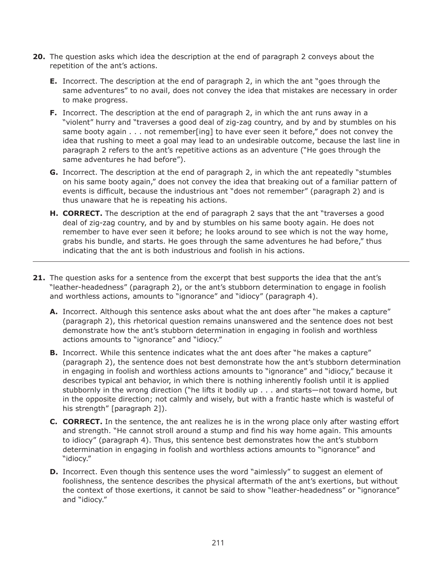- **20.** The question asks which idea the description at the end of paragraph 2 conveys about the repetition of the ant's actions.
	- **E.** Incorrect. The description at the end of paragraph 2, in which the ant "goes through the same adventures" to no avail, does not convey the idea that mistakes are necessary in order to make progress.
	- **F.** Incorrect. The description at the end of paragraph 2, in which the ant runs away in a "violent" hurry and "traverses a good deal of zig-zag country, and by and by stumbles on his same booty again . . . not remember[ing] to have ever seen it before," does not convey the idea that rushing to meet a goal may lead to an undesirable outcome, because the last line in paragraph 2 refers to the ant's repetitive actions as an adventure ("He goes through the same adventures he had before").
	- **G.** Incorrect. The description at the end of paragraph 2, in which the ant repeatedly "stumbles on his same booty again," does not convey the idea that breaking out of a familiar pattern of events is difficult, because the industrious ant "does not remember" (paragraph 2) and is thus unaware that he is repeating his actions.
	- **H. CORRECT.** The description at the end of paragraph 2 says that the ant "traverses a good deal of zig-zag country, and by and by stumbles on his same booty again. He does not remember to have ever seen it before; he looks around to see which is not the way home, grabs his bundle, and starts. He goes through the same adventures he had before," thus indicating that the ant is both industrious and foolish in his actions.
- **21.** The question asks for a sentence from the excerpt that best supports the idea that the ant's "leather-headedness" (paragraph 2), or the ant's stubborn determination to engage in foolish and worthless actions, amounts to "ignorance" and "idiocy" (paragraph 4).
	- **A.** Incorrect. Although this sentence asks about what the ant does after "he makes a capture" (paragraph 2), this rhetorical question remains unanswered and the sentence does not best demonstrate how the ant's stubborn determination in engaging in foolish and worthless actions amounts to "ignorance" and "idiocy."
	- **B.** Incorrect. While this sentence indicates what the ant does after "he makes a capture" (paragraph 2), the sentence does not best demonstrate how the ant's stubborn determination in engaging in foolish and worthless actions amounts to "ignorance" and "idiocy," because it describes typical ant behavior, in which there is nothing inherently foolish until it is applied stubbornly in the wrong direction ("he lifts it bodily up . . . and starts—not toward home, but in the opposite direction; not calmly and wisely, but with a frantic haste which is wasteful of his strength" [paragraph 2]).
	- **C. CORRECT.** In the sentence, the ant realizes he is in the wrong place only after wasting effort and strength. "He cannot stroll around a stump and find his way home again. This amounts to idiocy" (paragraph 4). Thus, this sentence best demonstrates how the ant's stubborn determination in engaging in foolish and worthless actions amounts to "ignorance" and "idiocy."
	- **D.** Incorrect. Even though this sentence uses the word "aimlessly" to suggest an element of foolishness, the sentence describes the physical aftermath of the ant's exertions, but without the context of those exertions, it cannot be said to show "leather-headedness" or "ignorance" and "idiocy."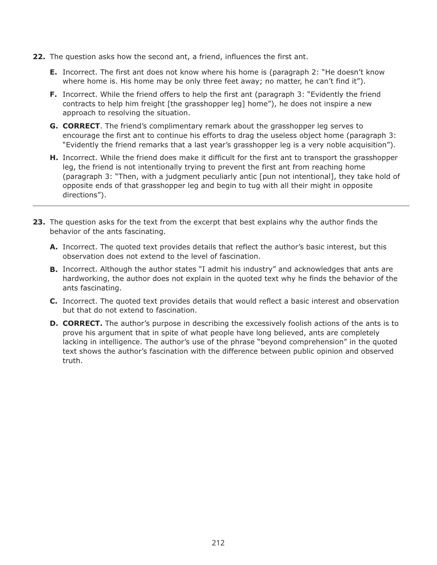- **22.** The question asks how the second ant, a friend, influences the first ant.
	- **E.** Incorrect. The first ant does not know where his home is (paragraph 2: "He doesn't know where home is. His home may be only three feet away; no matter, he can't find it").
	- **F.** Incorrect. While the friend offers to help the first ant (paragraph 3: "Evidently the friend contracts to help him freight [the grasshopper leg] home"), he does not inspire a new approach to resolving the situation.
	- **G. CORRECT**. The friend's complimentary remark about the grasshopper leg serves to encourage the first ant to continue his efforts to drag the useless object home (paragraph 3: "Evidently the friend remarks that a last year's grasshopper leg is a very noble acquisition").
	- **H.** Incorrect. While the friend does make it difficult for the first ant to transport the grasshopper leg, the friend is not intentionally trying to prevent the first ant from reaching home (paragraph 3: "Then, with a judgment peculiarly antic [pun not intentional], they take hold of opposite ends of that grasshopper leg and begin to tug with all their might in opposite directions").
- **23.** The question asks for the text from the excerpt that best explains why the author finds the behavior of the ants fascinating.
	- **A.** Incorrect. The quoted text provides details that reflect the author's basic interest, but this observation does not extend to the level of fascination.
	- **B.** Incorrect. Although the author states "I admit his industry" and acknowledges that ants are hardworking, the author does not explain in the quoted text why he finds the behavior of the ants fascinating.
	- **C.** Incorrect. The quoted text provides details that would reflect a basic interest and observation but that do not extend to fascination.
	- **D. CORRECT.** The author's purpose in describing the excessively foolish actions of the ants is to prove his argument that in spite of what people have long believed, ants are completely lacking in intelligence. The author's use of the phrase "beyond comprehension" in the quoted text shows the author's fascination with the difference between public opinion and observed truth.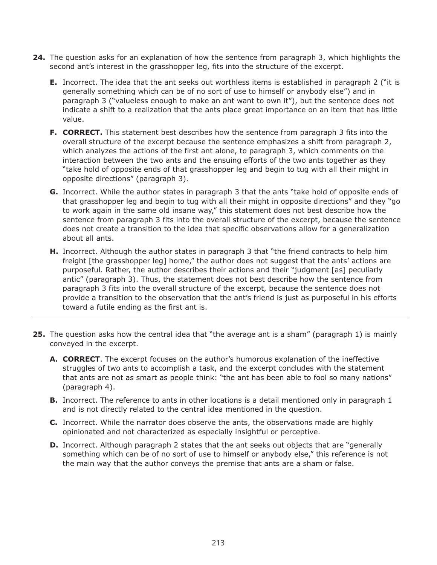- **24.** The question asks for an explanation of how the sentence from paragraph 3, which highlights the second ant's interest in the grasshopper leg, fits into the structure of the excerpt.
	- **E.** Incorrect. The idea that the ant seeks out worthless items is established in paragraph 2 ("it is generally something which can be of no sort of use to himself or anybody else") and in paragraph 3 ("valueless enough to make an ant want to own it"), but the sentence does not indicate a shift to a realization that the ants place great importance on an item that has little value.
	- **F. CORRECT.** This statement best describes how the sentence from paragraph 3 fits into the overall structure of the excerpt because the sentence emphasizes a shift from paragraph 2, which analyzes the actions of the first ant alone, to paragraph 3, which comments on the interaction between the two ants and the ensuing efforts of the two ants together as they "take hold of opposite ends of that grasshopper leg and begin to tug with all their might in opposite directions" (paragraph 3).
	- **G.** Incorrect. While the author states in paragraph 3 that the ants "take hold of opposite ends of that grasshopper leg and begin to tug with all their might in opposite directions" and they "go to work again in the same old insane way," this statement does not best describe how the sentence from paragraph 3 fits into the overall structure of the excerpt, because the sentence does not create a transition to the idea that specific observations allow for a generalization about all ants.
	- **H.** Incorrect. Although the author states in paragraph 3 that "the friend contracts to help him freight [the grasshopper leg] home," the author does not suggest that the ants' actions are purposeful. Rather, the author describes their actions and their "judgment [as] peculiarly antic" (paragraph 3). Thus, the statement does not best describe how the sentence from paragraph 3 fits into the overall structure of the excerpt, because the sentence does not provide a transition to the observation that the ant's friend is just as purposeful in his efforts toward a futile ending as the first ant is.
- **25.** The question asks how the central idea that "the average ant is a sham" (paragraph 1) is mainly conveyed in the excerpt.
	- **A. CORRECT**. The excerpt focuses on the author's humorous explanation of the ineffective struggles of two ants to accomplish a task, and the excerpt concludes with the statement that ants are not as smart as people think: "the ant has been able to fool so many nations" (paragraph 4).
	- **B.** Incorrect. The reference to ants in other locations is a detail mentioned only in paragraph 1 and is not directly related to the central idea mentioned in the question.
	- **C.** Incorrect. While the narrator does observe the ants, the observations made are highly opinionated and not characterized as especially insightful or perceptive.
	- **D.** Incorrect. Although paragraph 2 states that the ant seeks out objects that are "generally something which can be of no sort of use to himself or anybody else," this reference is not the main way that the author conveys the premise that ants are a sham or false.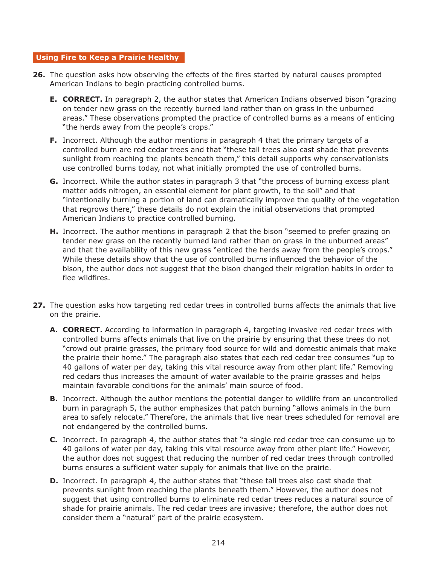#### **Using Fire to Keep a Prairie Healthy**

- **26.** The question asks how observing the effects of the fires started by natural causes prompted American Indians to begin practicing controlled burns.
	- **E. CORRECT.** In paragraph 2, the author states that American Indians observed bison "grazing on tender new grass on the recently burned land rather than on grass in the unburned areas." These observations prompted the practice of controlled burns as a means of enticing "the herds away from the people's crops."
	- **F.** Incorrect. Although the author mentions in paragraph 4 that the primary targets of a controlled burn are red cedar trees and that "these tall trees also cast shade that prevents sunlight from reaching the plants beneath them," this detail supports why conservationists use controlled burns today, not what initially prompted the use of controlled burns.
	- **G.** Incorrect. While the author states in paragraph 3 that "the process of burning excess plant matter adds nitrogen, an essential element for plant growth, to the soil" and that "intentionally burning a portion of land can dramatically improve the quality of the vegetation that regrows there," these details do not explain the initial observations that prompted American Indians to practice controlled burning.
	- **H.** Incorrect. The author mentions in paragraph 2 that the bison "seemed to prefer grazing on tender new grass on the recently burned land rather than on grass in the unburned areas" and that the availability of this new grass "enticed the herds away from the people's crops." While these details show that the use of controlled burns influenced the behavior of the bison, the author does not suggest that the bison changed their migration habits in order to flee wildfires.
- **27.** The question asks how targeting red cedar trees in controlled burns affects the animals that live on the prairie.
	- **A. CORRECT.** According to information in paragraph 4, targeting invasive red cedar trees with controlled burns affects animals that live on the prairie by ensuring that these trees do not "crowd out prairie grasses, the primary food source for wild and domestic animals that make the prairie their home." The paragraph also states that each red cedar tree consumes "up to 40 gallons of water per day, taking this vital resource away from other plant life." Removing red cedars thus increases the amount of water available to the prairie grasses and helps maintain favorable conditions for the animals' main source of food.
	- **B.** Incorrect. Although the author mentions the potential danger to wildlife from an uncontrolled burn in paragraph 5, the author emphasizes that patch burning "allows animals in the burn area to safely relocate." Therefore, the animals that live near trees scheduled for removal are not endangered by the controlled burns.
	- **C.** Incorrect. In paragraph 4, the author states that "a single red cedar tree can consume up to 40 gallons of water per day, taking this vital resource away from other plant life." However, the author does not suggest that reducing the number of red cedar trees through controlled burns ensures a sufficient water supply for animals that live on the prairie.
	- **D.** Incorrect. In paragraph 4, the author states that "these tall trees also cast shade that prevents sunlight from reaching the plants beneath them." However, the author does not suggest that using controlled burns to eliminate red cedar trees reduces a natural source of shade for prairie animals. The red cedar trees are invasive; therefore, the author does not consider them a "natural" part of the prairie ecosystem.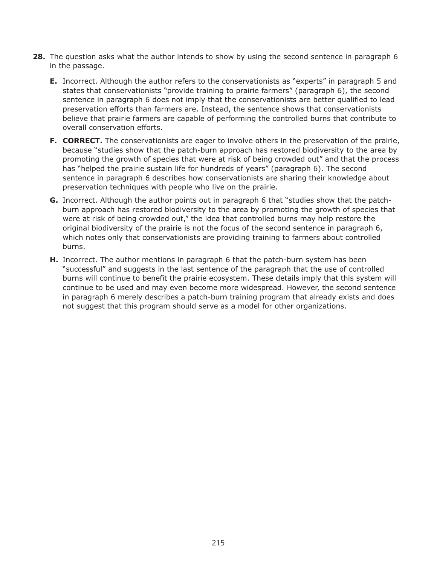- **28.** The question asks what the author intends to show by using the second sentence in paragraph 6 in the passage.
	- **E.** Incorrect. Although the author refers to the conservationists as "experts" in paragraph 5 and states that conservationists "provide training to prairie farmers" (paragraph 6), the second sentence in paragraph 6 does not imply that the conservationists are better qualified to lead preservation efforts than farmers are. Instead, the sentence shows that conservationists believe that prairie farmers are capable of performing the controlled burns that contribute to overall conservation efforts.
	- **F. CORRECT.** The conservationists are eager to involve others in the preservation of the prairie, because "studies show that the patch-burn approach has restored biodiversity to the area by promoting the growth of species that were at risk of being crowded out" and that the process has "helped the prairie sustain life for hundreds of years" (paragraph 6). The second sentence in paragraph 6 describes how conservationists are sharing their knowledge about preservation techniques with people who live on the prairie.
	- **G.** Incorrect. Although the author points out in paragraph 6 that "studies show that the patchburn approach has restored biodiversity to the area by promoting the growth of species that were at risk of being crowded out," the idea that controlled burns may help restore the original biodiversity of the prairie is not the focus of the second sentence in paragraph 6, which notes only that conservationists are providing training to farmers about controlled burns.
	- **H.** Incorrect. The author mentions in paragraph 6 that the patch-burn system has been "successful" and suggests in the last sentence of the paragraph that the use of controlled burns will continue to benefit the prairie ecosystem. These details imply that this system will continue to be used and may even become more widespread. However, the second sentence in paragraph 6 merely describes a patch-burn training program that already exists and does not suggest that this program should serve as a model for other organizations.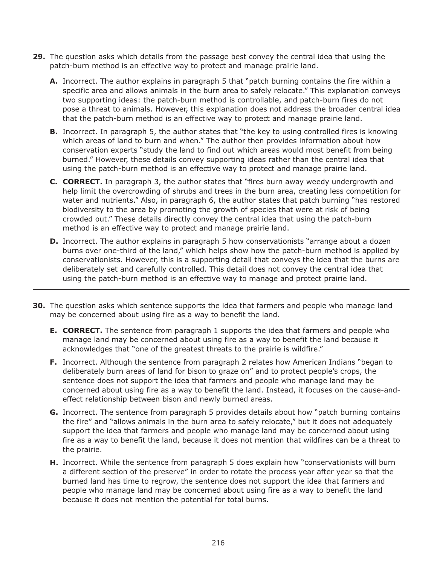- **29.** The question asks which details from the passage best convey the central idea that using the patch-burn method is an effective way to protect and manage prairie land.
	- **A.** Incorrect. The author explains in paragraph 5 that "patch burning contains the fire within a specific area and allows animals in the burn area to safely relocate." This explanation conveys two supporting ideas: the patch-burn method is controllable, and patch-burn fires do not pose a threat to animals. However, this explanation does not address the broader central idea that the patch-burn method is an effective way to protect and manage prairie land.
	- **B.** Incorrect. In paragraph 5, the author states that "the key to using controlled fires is knowing which areas of land to burn and when." The author then provides information about how conservation experts "study the land to find out which areas would most benefit from being burned." However, these details convey supporting ideas rather than the central idea that using the patch-burn method is an effective way to protect and manage prairie land.
	- **C. CORRECT.** In paragraph 3, the author states that "fires burn away weedy undergrowth and help limit the overcrowding of shrubs and trees in the burn area, creating less competition for water and nutrients." Also, in paragraph 6, the author states that patch burning "has restored biodiversity to the area by promoting the growth of species that were at risk of being crowded out." These details directly convey the central idea that using the patch-burn method is an effective way to protect and manage prairie land.
	- **D.** Incorrect. The author explains in paragraph 5 how conservationists "arrange about a dozen burns over one-third of the land," which helps show how the patch-burn method is applied by conservationists. However, this is a supporting detail that conveys the idea that the burns are deliberately set and carefully controlled. This detail does not convey the central idea that using the patch-burn method is an effective way to manage and protect prairie land.
- **30.** The question asks which sentence supports the idea that farmers and people who manage land may be concerned about using fire as a way to benefit the land.
	- **E. CORRECT.** The sentence from paragraph 1 supports the idea that farmers and people who manage land may be concerned about using fire as a way to benefit the land because it acknowledges that "one of the greatest threats to the prairie is wildfire."
	- **F.** Incorrect. Although the sentence from paragraph 2 relates how American Indians "began to deliberately burn areas of land for bison to graze on" and to protect people's crops, the sentence does not support the idea that farmers and people who manage land may be concerned about using fire as a way to benefit the land. Instead, it focuses on the cause-andeffect relationship between bison and newly burned areas.
	- **G.** Incorrect. The sentence from paragraph 5 provides details about how "patch burning contains the fire" and "allows animals in the burn area to safely relocate," but it does not adequately support the idea that farmers and people who manage land may be concerned about using fire as a way to benefit the land, because it does not mention that wildfires can be a threat to the prairie.
	- **H.** Incorrect. While the sentence from paragraph 5 does explain how "conservationists will burn a different section of the preserve" in order to rotate the process year after year so that the burned land has time to regrow, the sentence does not support the idea that farmers and people who manage land may be concerned about using fire as a way to benefit the land because it does not mention the potential for total burns.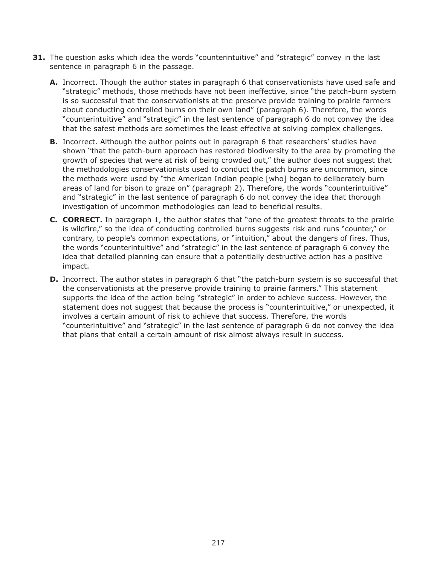- **31.** The question asks which idea the words "counterintuitive" and "strategic" convey in the last sentence in paragraph 6 in the passage.
	- **A.** Incorrect. Though the author states in paragraph 6 that conservationists have used safe and "strategic" methods, those methods have not been ineffective, since "the patch-burn system is so successful that the conservationists at the preserve provide training to prairie farmers about conducting controlled burns on their own land" (paragraph 6). Therefore, the words "counterintuitive" and "strategic" in the last sentence of paragraph 6 do not convey the idea that the safest methods are sometimes the least effective at solving complex challenges.
	- **B.** Incorrect. Although the author points out in paragraph 6 that researchers' studies have shown "that the patch-burn approach has restored biodiversity to the area by promoting the growth of species that were at risk of being crowded out," the author does not suggest that the methodologies conservationists used to conduct the patch burns are uncommon, since the methods were used by "the American Indian people [who] began to deliberately burn areas of land for bison to graze on" (paragraph 2). Therefore, the words "counterintuitive" and "strategic" in the last sentence of paragraph 6 do not convey the idea that thorough investigation of uncommon methodologies can lead to beneficial results.
	- **C. CORRECT.** In paragraph 1, the author states that "one of the greatest threats to the prairie is wildfire," so the idea of conducting controlled burns suggests risk and runs "counter," or contrary, to people's common expectations, or "intuition," about the dangers of fires. Thus, the words "counterintuitive" and "strategic" in the last sentence of paragraph 6 convey the idea that detailed planning can ensure that a potentially destructive action has a positive impact.
	- **D.** Incorrect. The author states in paragraph 6 that "the patch-burn system is so successful that the conservationists at the preserve provide training to prairie farmers." This statement supports the idea of the action being "strategic" in order to achieve success. However, the statement does not suggest that because the process is "counterintuitive," or unexpected, it involves a certain amount of risk to achieve that success. Therefore, the words "counterintuitive" and "strategic" in the last sentence of paragraph 6 do not convey the idea that plans that entail a certain amount of risk almost always result in success.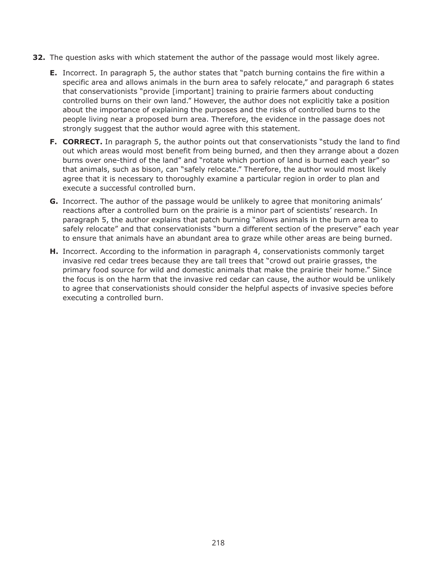- **32.** The question asks with which statement the author of the passage would most likely agree.
	- **E.** Incorrect. In paragraph 5, the author states that "patch burning contains the fire within a specific area and allows animals in the burn area to safely relocate," and paragraph 6 states that conservationists "provide [important] training to prairie farmers about conducting controlled burns on their own land." However, the author does not explicitly take a position about the importance of explaining the purposes and the risks of controlled burns to the people living near a proposed burn area. Therefore, the evidence in the passage does not strongly suggest that the author would agree with this statement.
	- **F. CORRECT.** In paragraph 5, the author points out that conservationists "study the land to find out which areas would most benefit from being burned, and then they arrange about a dozen burns over one-third of the land" and "rotate which portion of land is burned each year" so that animals, such as bison, can "safely relocate." Therefore, the author would most likely agree that it is necessary to thoroughly examine a particular region in order to plan and execute a successful controlled burn.
	- **G.** Incorrect. The author of the passage would be unlikely to agree that monitoring animals' reactions after a controlled burn on the prairie is a minor part of scientists' research. In paragraph 5, the author explains that patch burning "allows animals in the burn area to safely relocate" and that conservationists "burn a different section of the preserve" each year to ensure that animals have an abundant area to graze while other areas are being burned.
	- **H.** Incorrect. According to the information in paragraph 4, conservationists commonly target invasive red cedar trees because they are tall trees that "crowd out prairie grasses, the primary food source for wild and domestic animals that make the prairie their home." Since the focus is on the harm that the invasive red cedar can cause, the author would be unlikely to agree that conservationists should consider the helpful aspects of invasive species before executing a controlled burn.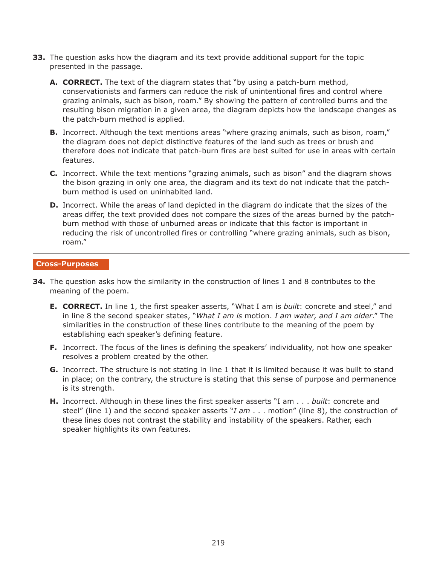- **33.** The question asks how the diagram and its text provide additional support for the topic presented in the passage.
	- **A. CORRECT.** The text of the diagram states that "by using a patch-burn method, conservationists and farmers can reduce the risk of unintentional fires and control where grazing animals, such as bison, roam." By showing the pattern of controlled burns and the resulting bison migration in a given area, the diagram depicts how the landscape changes as the patch-burn method is applied.
	- **B.** Incorrect. Although the text mentions areas "where grazing animals, such as bison, roam," the diagram does not depict distinctive features of the land such as trees or brush and therefore does not indicate that patch-burn fires are best suited for use in areas with certain features.
	- **C.** Incorrect. While the text mentions "grazing animals, such as bison" and the diagram shows the bison grazing in only one area, the diagram and its text do not indicate that the patchburn method is used on uninhabited land.
	- **D.** Incorrect. While the areas of land depicted in the diagram do indicate that the sizes of the areas differ, the text provided does not compare the sizes of the areas burned by the patchburn method with those of unburned areas or indicate that this factor is important in reducing the risk of uncontrolled fires or controlling "where grazing animals, such as bison, roam."

#### **Cross-Purposes**

- **34.** The question asks how the similarity in the construction of lines 1 and 8 contributes to the meaning of the poem.
	- **E. CORRECT.** In line 1, the first speaker asserts, "What I am is *built*: concrete and steel," and in line 8 the second speaker states, "*What I am is* motion. *I am water, and I am older*." The similarities in the construction of these lines contribute to the meaning of the poem by establishing each speaker's defining feature.
	- **F.** Incorrect. The focus of the lines is defining the speakers' individuality, not how one speaker resolves a problem created by the other.
	- **G.** Incorrect. The structure is not stating in line 1 that it is limited because it was built to stand in place; on the contrary, the structure is stating that this sense of purpose and permanence is its strength.
	- **H.** Incorrect. Although in these lines the first speaker asserts "I am . . . *built*: concrete and steel" (line 1) and the second speaker asserts "*I am* . . . motion" (line 8), the construction of these lines does not contrast the stability and instability of the speakers. Rather, each speaker highlights its own features.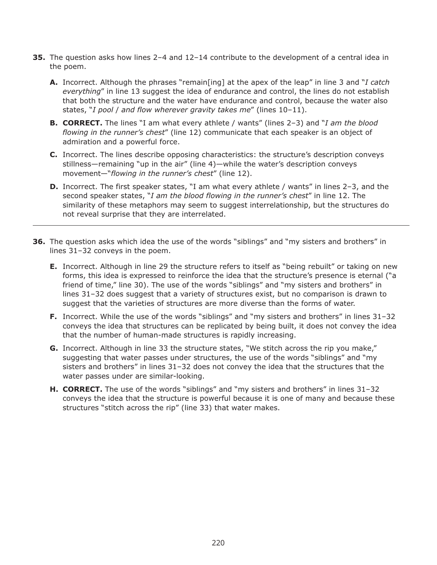- **35.** The question asks how lines 2–4 and 12–14 contribute to the development of a central idea in the poem.
	- **A.** Incorrect. Although the phrases "remain[ing] at the apex of the leap" in line 3 and "*I catch everything*" in line 13 suggest the idea of endurance and control, the lines do not establish that both the structure and the water have endurance and control, because the water also states, "*I pool* / *and flow wherever gravity takes me*" (lines 10–11).
	- **B. CORRECT.** The lines "I am what every athlete / wants" (lines 2–3) and "*I am the blood flowing in the runner's chest*" (line 12) communicate that each speaker is an object of admiration and a powerful force.
	- **C.** Incorrect. The lines describe opposing characteristics: the structure's description conveys stillness—remaining "up in the air" (line 4)—while the water's description conveys movement—"*flowing in the runner's chest*" (line 12).
	- **D.** Incorrect. The first speaker states, "I am what every athlete / wants" in lines 2–3, and the second speaker states, "*I am the blood flowing in the runner's chest*" in line 12. The similarity of these metaphors may seem to suggest interrelationship, but the structures do not reveal surprise that they are interrelated.
- **36.** The question asks which idea the use of the words "siblings" and "my sisters and brothers" in lines 31–32 conveys in the poem.
	- **E.** Incorrect. Although in line 29 the structure refers to itself as "being rebuilt" or taking on new forms, this idea is expressed to reinforce the idea that the structure's presence is eternal ("a friend of time," line 30). The use of the words "siblings" and "my sisters and brothers" in lines 31–32 does suggest that a variety of structures exist, but no comparison is drawn to suggest that the varieties of structures are more diverse than the forms of water.
	- **F.** Incorrect. While the use of the words "siblings" and "my sisters and brothers" in lines 31–32 conveys the idea that structures can be replicated by being built, it does not convey the idea that the number of human-made structures is rapidly increasing.
	- **G.** Incorrect. Although in line 33 the structure states, "We stitch across the rip you make," suggesting that water passes under structures, the use of the words "siblings" and "my sisters and brothers" in lines 31–32 does not convey the idea that the structures that the water passes under are similar-looking.
	- **H. CORRECT.** The use of the words "siblings" and "my sisters and brothers" in lines 31–32 conveys the idea that the structure is powerful because it is one of many and because these structures "stitch across the rip" (line 33) that water makes.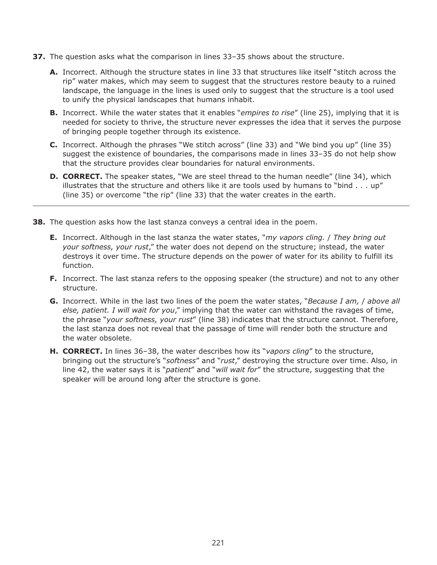- **37.** The question asks what the comparison in lines 33–35 shows about the structure.
	- **A.** Incorrect. Although the structure states in line 33 that structures like itself "stitch across the rip" water makes, which may seem to suggest that the structures restore beauty to a ruined landscape, the language in the lines is used only to suggest that the structure is a tool used to unify the physical landscapes that humans inhabit.
	- **B.** Incorrect. While the water states that it enables "*empires to rise*" (line 25), implying that it is needed for society to thrive, the structure never expresses the idea that it serves the purpose of bringing people together through its existence.
	- **C.** Incorrect. Although the phrases "We stitch across" (line 33) and "We bind you up" (line 35) suggest the existence of boundaries, the comparisons made in lines 33–35 do not help show that the structure provides clear boundaries for natural environments.
	- **D. CORRECT.** The speaker states, "We are steel thread to the human needle" (line 34), which illustrates that the structure and others like it are tools used by humans to "bind  $\ldots$  up" (line 35) or overcome "the rip" (line 33) that the water creates in the earth.
- **38.** The question asks how the last stanza conveys a central idea in the poem.
	- **E.** Incorrect. Although in the last stanza the water states, "*my vapors cling.* / *They bring out your softness, your rust*," the water does not depend on the structure; instead, the water destroys it over time. The structure depends on the power of water for its ability to fulfill its function.
	- **F.** Incorrect. The last stanza refers to the opposing speaker (the structure) and not to any other structure.
	- **G.** Incorrect. While in the last two lines of the poem the water states, "*Because I am,* / *above all else, patient. I will wait for you*," implying that the water can withstand the ravages of time, the phrase "*your softness, your rust*" (line 38) indicates that the structure cannot. Therefore, the last stanza does not reveal that the passage of time will render both the structure and the water obsolete.
	- **H. CORRECT.** In lines 36–38, the water describes how its "*vapors cling*" to the structure, bringing out the structure's "*softness*" and "*rust*," destroying the structure over time. Also, in line 42, the water says it is "*patient*" and "*will wait for*" the structure, suggesting that the speaker will be around long after the structure is gone.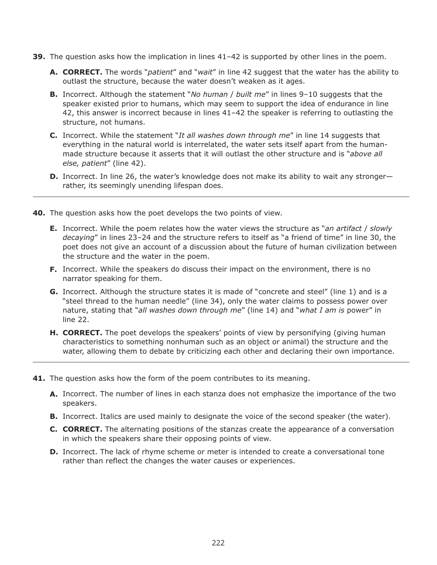- **39.** The question asks how the implication in lines 41–42 is supported by other lines in the poem.
	- **A. CORRECT.** The words "*patient*" and "*wait*" in line 42 suggest that the water has the ability to outlast the structure, because the water doesn't weaken as it ages.
	- **B.** Incorrect. Although the statement "*No human* / *built me*" in lines 9–10 suggests that the speaker existed prior to humans, which may seem to support the idea of endurance in line 42, this answer is incorrect because in lines 41–42 the speaker is referring to outlasting the structure, not humans.
	- **C.** Incorrect. While the statement "*It all washes down through me*" in line 14 suggests that everything in the natural world is interrelated, the water sets itself apart from the humanmade structure because it asserts that it will outlast the other structure and is "*above all else, patient*" (line 42).
	- **D.** Incorrect. In line 26, the water's knowledge does not make its ability to wait any stronger rather, its seemingly unending lifespan does.
- **40.** The question asks how the poet develops the two points of view.
	- **E.** Incorrect. While the poem relates how the water views the structure as "*an artifact* / *slowly decaying*" in lines 23–24 and the structure refers to itself as "a friend of time" in line 30, the poet does not give an account of a discussion about the future of human civilization between the structure and the water in the poem.
	- **F.** Incorrect. While the speakers do discuss their impact on the environment, there is no narrator speaking for them.
	- **G.** Incorrect. Although the structure states it is made of "concrete and steel" (line 1) and is a "steel thread to the human needle" (line 34), only the water claims to possess power over nature, stating that "*all washes down through me*" (line 14) and "*what I am is* power" in line 22.
	- **H. CORRECT.** The poet develops the speakers' points of view by personifying (giving human characteristics to something nonhuman such as an object or animal) the structure and the water, allowing them to debate by criticizing each other and declaring their own importance.
- **41.** The question asks how the form of the poem contributes to its meaning.
	- **A.** Incorrect. The number of lines in each stanza does not emphasize the importance of the two speakers.
	- **B.** Incorrect. Italics are used mainly to designate the voice of the second speaker (the water).
	- **C. CORRECT.** The alternating positions of the stanzas create the appearance of a conversation in which the speakers share their opposing points of view.
	- **D.** Incorrect. The lack of rhyme scheme or meter is intended to create a conversational tone rather than reflect the changes the water causes or experiences.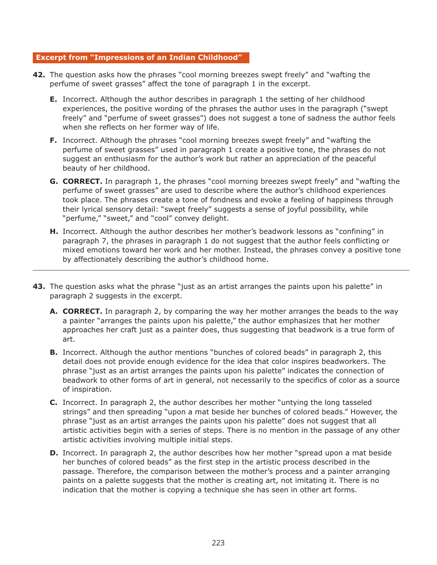#### **Excerpt from "Impressions of an Indian Childhood"**

- **42.** The question asks how the phrases "cool morning breezes swept freely" and "wafting the perfume of sweet grasses" affect the tone of paragraph 1 in the excerpt.
	- **E.** Incorrect. Although the author describes in paragraph 1 the setting of her childhood experiences, the positive wording of the phrases the author uses in the paragraph ("swept freely" and "perfume of sweet grasses") does not suggest a tone of sadness the author feels when she reflects on her former way of life.
	- **F.** Incorrect. Although the phrases "cool morning breezes swept freely" and "wafting the perfume of sweet grasses" used in paragraph 1 create a positive tone, the phrases do not suggest an enthusiasm for the author's work but rather an appreciation of the peaceful beauty of her childhood.
	- **G. CORRECT.** In paragraph 1, the phrases "cool morning breezes swept freely" and "wafting the perfume of sweet grasses" are used to describe where the author's childhood experiences took place. The phrases create a tone of fondness and evoke a feeling of happiness through their lyrical sensory detail: "swept freely" suggests a sense of joyful possibility, while "perfume," "sweet," and "cool" convey delight.
	- **H.** Incorrect. Although the author describes her mother's beadwork lessons as "confining" in paragraph 7, the phrases in paragraph 1 do not suggest that the author feels conflicting or mixed emotions toward her work and her mother. Instead, the phrases convey a positive tone by affectionately describing the author's childhood home.
- **43.** The question asks what the phrase "just as an artist arranges the paints upon his palette" in paragraph 2 suggests in the excerpt.
	- **A. CORRECT.** In paragraph 2, by comparing the way her mother arranges the beads to the way a painter "arranges the paints upon his palette," the author emphasizes that her mother approaches her craft just as a painter does, thus suggesting that beadwork is a true form of art.
	- **B.** Incorrect. Although the author mentions "bunches of colored beads" in paragraph 2, this detail does not provide enough evidence for the idea that color inspires beadworkers. The phrase "just as an artist arranges the paints upon his palette" indicates the connection of beadwork to other forms of art in general, not necessarily to the specifics of color as a source of inspiration.
	- **C.** Incorrect. In paragraph 2, the author describes her mother "untying the long tasseled strings" and then spreading "upon a mat beside her bunches of colored beads." However, the phrase "just as an artist arranges the paints upon his palette" does not suggest that all artistic activities begin with a series of steps. There is no mention in the passage of any other artistic activities involving multiple initial steps.
	- **D.** Incorrect. In paragraph 2, the author describes how her mother "spread upon a mat beside her bunches of colored beads" as the first step in the artistic process described in the passage. Therefore, the comparison between the mother's process and a painter arranging paints on a palette suggests that the mother is creating art, not imitating it. There is no indication that the mother is copying a technique she has seen in other art forms.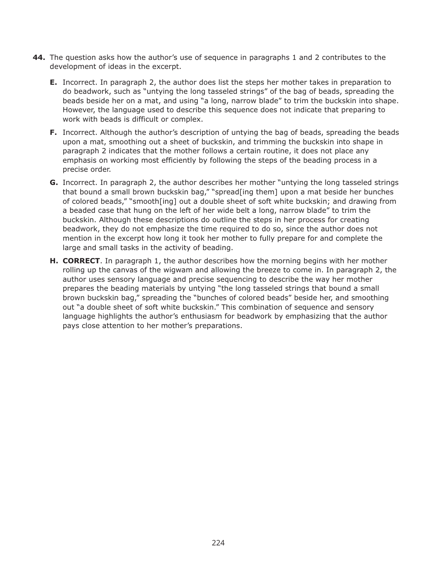- **44.** The question asks how the author's use of sequence in paragraphs 1 and 2 contributes to the development of ideas in the excerpt.
	- **E.** Incorrect. In paragraph 2, the author does list the steps her mother takes in preparation to do beadwork, such as "untying the long tasseled strings" of the bag of beads, spreading the beads beside her on a mat, and using "a long, narrow blade" to trim the buckskin into shape. However, the language used to describe this sequence does not indicate that preparing to work with beads is difficult or complex.
	- **F.** Incorrect. Although the author's description of untying the bag of beads, spreading the beads upon a mat, smoothing out a sheet of buckskin, and trimming the buckskin into shape in paragraph 2 indicates that the mother follows a certain routine, it does not place any emphasis on working most efficiently by following the steps of the beading process in a precise order.
	- **G.** Incorrect. In paragraph 2, the author describes her mother "untying the long tasseled strings that bound a small brown buckskin bag," "spread[ing them] upon a mat beside her bunches of colored beads," "smooth[ing] out a double sheet of soft white buckskin; and drawing from a beaded case that hung on the left of her wide belt a long, narrow blade" to trim the buckskin. Although these descriptions do outline the steps in her process for creating beadwork, they do not emphasize the time required to do so, since the author does not mention in the excerpt how long it took her mother to fully prepare for and complete the large and small tasks in the activity of beading.
	- **H. CORRECT**. In paragraph 1, the author describes how the morning begins with her mother rolling up the canvas of the wigwam and allowing the breeze to come in. In paragraph 2, the author uses sensory language and precise sequencing to describe the way her mother prepares the beading materials by untying "the long tasseled strings that bound a small brown buckskin bag," spreading the "bunches of colored beads" beside her, and smoothing out "a double sheet of soft white buckskin." This combination of sequence and sensory language highlights the author's enthusiasm for beadwork by emphasizing that the author pays close attention to her mother's preparations.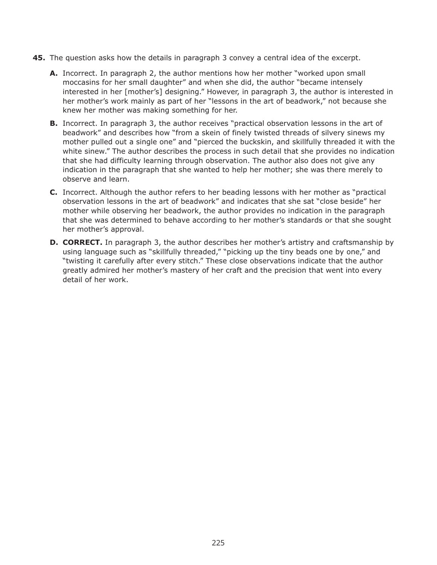- **45.** The question asks how the details in paragraph 3 convey a central idea of the excerpt.
	- **A.** Incorrect. In paragraph 2, the author mentions how her mother "worked upon small moccasins for her small daughter" and when she did, the author "became intensely interested in her [mother's] designing." However, in paragraph 3, the author is interested in her mother's work mainly as part of her "lessons in the art of beadwork," not because she knew her mother was making something for her.
	- **B.** Incorrect. In paragraph 3, the author receives "practical observation lessons in the art of beadwork" and describes how "from a skein of finely twisted threads of silvery sinews my mother pulled out a single one" and "pierced the buckskin, and skillfully threaded it with the white sinew." The author describes the process in such detail that she provides no indication that she had difficulty learning through observation. The author also does not give any indication in the paragraph that she wanted to help her mother; she was there merely to observe and learn.
	- **C.** Incorrect. Although the author refers to her beading lessons with her mother as "practical observation lessons in the art of beadwork" and indicates that she sat "close beside" her mother while observing her beadwork, the author provides no indication in the paragraph that she was determined to behave according to her mother's standards or that she sought her mother's approval.
	- **D. CORRECT.** In paragraph 3, the author describes her mother's artistry and craftsmanship by using language such as "skillfully threaded," "picking up the tiny beads one by one," and "twisting it carefully after every stitch." These close observations indicate that the author greatly admired her mother's mastery of her craft and the precision that went into every detail of her work.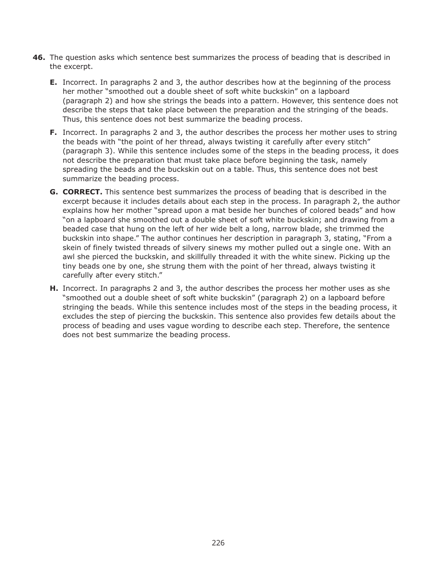- **46.** The question asks which sentence best summarizes the process of beading that is described in the excerpt.
	- **E.** Incorrect. In paragraphs 2 and 3, the author describes how at the beginning of the process her mother "smoothed out a double sheet of soft white buckskin" on a lapboard (paragraph 2) and how she strings the beads into a pattern. However, this sentence does not describe the steps that take place between the preparation and the stringing of the beads. Thus, this sentence does not best summarize the beading process.
	- **F.** Incorrect. In paragraphs 2 and 3, the author describes the process her mother uses to string the beads with "the point of her thread, always twisting it carefully after every stitch" (paragraph 3). While this sentence includes some of the steps in the beading process, it does not describe the preparation that must take place before beginning the task, namely spreading the beads and the buckskin out on a table. Thus, this sentence does not best summarize the beading process.
	- **G. CORRECT.** This sentence best summarizes the process of beading that is described in the excerpt because it includes details about each step in the process. In paragraph 2, the author explains how her mother "spread upon a mat beside her bunches of colored beads" and how "on a lapboard she smoothed out a double sheet of soft white buckskin; and drawing from a beaded case that hung on the left of her wide belt a long, narrow blade, she trimmed the buckskin into shape." The author continues her description in paragraph 3, stating, "From a skein of finely twisted threads of silvery sinews my mother pulled out a single one. With an awl she pierced the buckskin, and skillfully threaded it with the white sinew. Picking up the tiny beads one by one, she strung them with the point of her thread, always twisting it carefully after every stitch."
	- **H.** Incorrect. In paragraphs 2 and 3, the author describes the process her mother uses as she "smoothed out a double sheet of soft white buckskin" (paragraph 2) on a lapboard before stringing the beads. While this sentence includes most of the steps in the beading process, it excludes the step of piercing the buckskin. This sentence also provides few details about the process of beading and uses vague wording to describe each step. Therefore, the sentence does not best summarize the beading process.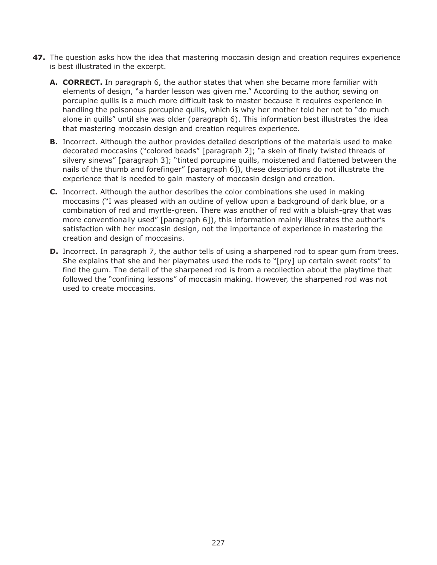- **47.** The question asks how the idea that mastering moccasin design and creation requires experience is best illustrated in the excerpt.
	- **A. CORRECT.** In paragraph 6, the author states that when she became more familiar with elements of design, "a harder lesson was given me." According to the author, sewing on porcupine quills is a much more difficult task to master because it requires experience in handling the poisonous porcupine quills, which is why her mother told her not to "do much alone in quills" until she was older (paragraph 6). This information best illustrates the idea that mastering moccasin design and creation requires experience.
	- **B.** Incorrect. Although the author provides detailed descriptions of the materials used to make decorated moccasins ("colored beads" [paragraph 2]; "a skein of finely twisted threads of silvery sinews" [paragraph 3]; "tinted porcupine quills, moistened and flattened between the nails of the thumb and forefinger" [paragraph 6]), these descriptions do not illustrate the experience that is needed to gain mastery of moccasin design and creation.
	- **C.** Incorrect. Although the author describes the color combinations she used in making moccasins ("I was pleased with an outline of yellow upon a background of dark blue, or a combination of red and myrtle-green. There was another of red with a bluish-gray that was more conventionally used" [paragraph 6]), this information mainly illustrates the author's satisfaction with her moccasin design, not the importance of experience in mastering the creation and design of moccasins.
	- **D.** Incorrect. In paragraph 7, the author tells of using a sharpened rod to spear gum from trees. She explains that she and her playmates used the rods to "[pry] up certain sweet roots" to find the gum. The detail of the sharpened rod is from a recollection about the playtime that followed the "confining lessons" of moccasin making. However, the sharpened rod was not used to create moccasins.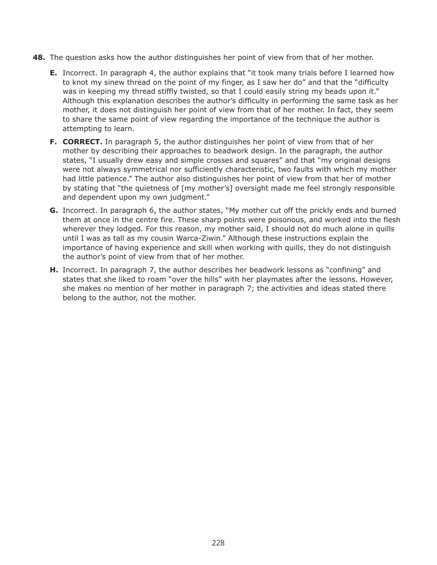- **48.** The question asks how the author distinguishes her point of view from that of her mother.
	- **E.** Incorrect. In paragraph 4, the author explains that "it took many trials before I learned how to knot my sinew thread on the point of my finger, as I saw her do" and that the "difficulty was in keeping my thread stiffly twisted, so that I could easily string my beads upon it." Although this explanation describes the author's difficulty in performing the same task as her mother, it does not distinguish her point of view from that of her mother. In fact, they seem to share the same point of view regarding the importance of the technique the author is attempting to learn.
	- **F. CORRECT.** In paragraph 5, the author distinguishes her point of view from that of her mother by describing their approaches to beadwork design. In the paragraph, the author states, "I usually drew easy and simple crosses and squares" and that "my original designs were not always symmetrical nor sufficiently characteristic, two faults with which my mother had little patience." The author also distinguishes her point of view from that her of mother by stating that "the quietness of [my mother's] oversight made me feel strongly responsible and dependent upon my own judgment."
	- **G.** Incorrect. In paragraph 6, the author states, "My mother cut off the prickly ends and burned them at once in the centre fire. These sharp points were poisonous, and worked into the flesh wherever they lodged. For this reason, my mother said, I should not do much alone in quills until I was as tall as my cousin Warca-Ziwin." Although these instructions explain the importance of having experience and skill when working with quills, they do not distinguish the author's point of view from that of her mother.
	- **H.** Incorrect. In paragraph 7, the author describes her beadwork lessons as "confining" and states that she liked to roam "over the hills" with her playmates after the lessons. However, she makes no mention of her mother in paragraph 7; the activities and ideas stated there belong to the author, not the mother.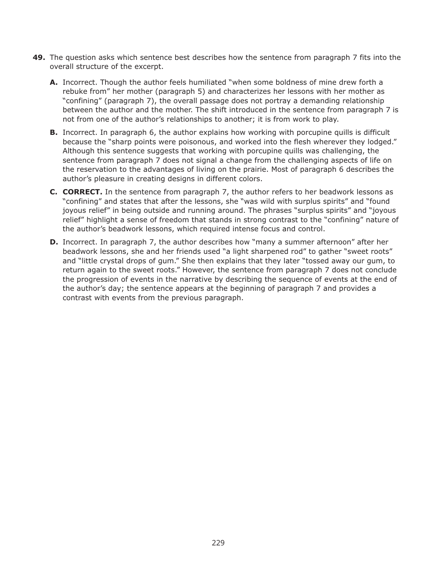- **49.** The question asks which sentence best describes how the sentence from paragraph 7 fits into the overall structure of the excerpt.
	- **A.** Incorrect. Though the author feels humiliated "when some boldness of mine drew forth a rebuke from" her mother (paragraph 5) and characterizes her lessons with her mother as "confining" (paragraph 7), the overall passage does not portray a demanding relationship between the author and the mother. The shift introduced in the sentence from paragraph 7 is not from one of the author's relationships to another; it is from work to play.
	- **B.** Incorrect. In paragraph 6, the author explains how working with porcupine quills is difficult because the "sharp points were poisonous, and worked into the flesh wherever they lodged." Although this sentence suggests that working with porcupine quills was challenging, the sentence from paragraph 7 does not signal a change from the challenging aspects of life on the reservation to the advantages of living on the prairie. Most of paragraph 6 describes the author's pleasure in creating designs in different colors.
	- **C. CORRECT.** In the sentence from paragraph 7, the author refers to her beadwork lessons as "confining" and states that after the lessons, she "was wild with surplus spirits" and "found joyous relief" in being outside and running around. The phrases "surplus spirits" and "joyous relief" highlight a sense of freedom that stands in strong contrast to the "confining" nature of the author's beadwork lessons, which required intense focus and control.
	- **D.** Incorrect. In paragraph 7, the author describes how "many a summer afternoon" after her beadwork lessons, she and her friends used "a light sharpened rod" to gather "sweet roots" and "little crystal drops of gum." She then explains that they later "tossed away our gum, to return again to the sweet roots." However, the sentence from paragraph 7 does not conclude the progression of events in the narrative by describing the sequence of events at the end of the author's day; the sentence appears at the beginning of paragraph 7 and provides a contrast with events from the previous paragraph.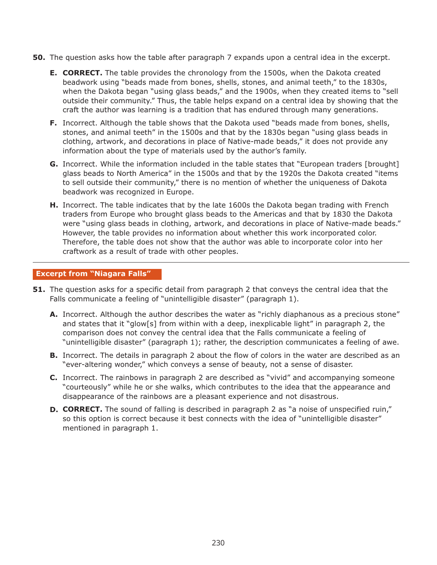- **50.** The question asks how the table after paragraph 7 expands upon a central idea in the excerpt.
	- **E. CORRECT.** The table provides the chronology from the 1500s, when the Dakota created beadwork using "beads made from bones, shells, stones, and animal teeth," to the 1830s, when the Dakota began "using glass beads," and the 1900s, when they created items to "sell outside their community." Thus, the table helps expand on a central idea by showing that the craft the author was learning is a tradition that has endured through many generations.
	- **F.** Incorrect. Although the table shows that the Dakota used "beads made from bones, shells, stones, and animal teeth" in the 1500s and that by the 1830s began "using glass beads in clothing, artwork, and decorations in place of Native-made beads," it does not provide any information about the type of materials used by the author's family.
	- **G.** Incorrect. While the information included in the table states that "European traders [brought] glass beads to North America" in the 1500s and that by the 1920s the Dakota created "items to sell outside their community," there is no mention of whether the uniqueness of Dakota beadwork was recognized in Europe.
	- **H.** Incorrect. The table indicates that by the late 1600s the Dakota began trading with French traders from Europe who brought glass beads to the Americas and that by 1830 the Dakota were "using glass beads in clothing, artwork, and decorations in place of Native-made beads." However, the table provides no information about whether this work incorporated color. Therefore, the table does not show that the author was able to incorporate color into her craftwork as a result of trade with other peoples.

#### **Excerpt from "Niagara Falls"**

- **51.** The question asks for a specific detail from paragraph 2 that conveys the central idea that the Falls communicate a feeling of "unintelligible disaster" (paragraph 1).
	- **A.** Incorrect. Although the author describes the water as "richly diaphanous as a precious stone" and states that it "glow[s] from within with a deep, inexplicable light" in paragraph 2, the comparison does not convey the central idea that the Falls communicate a feeling of "unintelligible disaster" (paragraph 1); rather, the description communicates a feeling of awe.
	- **B.** Incorrect. The details in paragraph 2 about the flow of colors in the water are described as an "ever-altering wonder," which conveys a sense of beauty, not a sense of disaster.
	- **C.** Incorrect. The rainbows in paragraph 2 are described as "vivid" and accompanying someone "courteously" while he or she walks, which contributes to the idea that the appearance and disappearance of the rainbows are a pleasant experience and not disastrous.
	- **D. CORRECT.** The sound of falling is described in paragraph 2 as "a noise of unspecified ruin," so this option is correct because it best connects with the idea of "unintelligible disaster" mentioned in paragraph 1.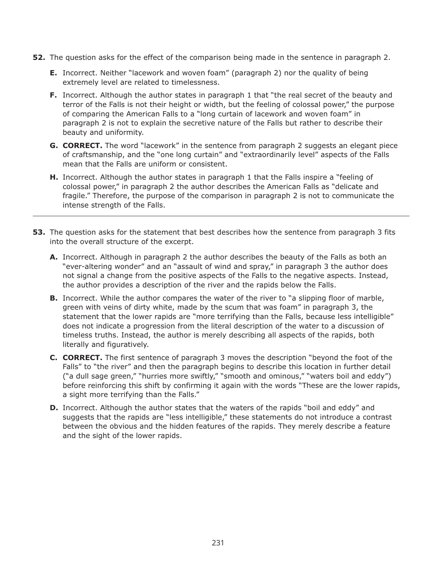- **52.** The question asks for the effect of the comparison being made in the sentence in paragraph 2.
	- **E.** Incorrect. Neither "lacework and woven foam" (paragraph 2) nor the quality of being extremely level are related to timelessness.
	- **F.** Incorrect. Although the author states in paragraph 1 that "the real secret of the beauty and terror of the Falls is not their height or width, but the feeling of colossal power," the purpose of comparing the American Falls to a "long curtain of lacework and woven foam" in paragraph 2 is not to explain the secretive nature of the Falls but rather to describe their beauty and uniformity.
	- **G. CORRECT.** The word "lacework" in the sentence from paragraph 2 suggests an elegant piece of craftsmanship, and the "one long curtain" and "extraordinarily level" aspects of the Falls mean that the Falls are uniform or consistent.
	- **H.** Incorrect. Although the author states in paragraph 1 that the Falls inspire a "feeling of colossal power," in paragraph 2 the author describes the American Falls as "delicate and fragile." Therefore, the purpose of the comparison in paragraph 2 is not to communicate the intense strength of the Falls.
- **53.** The question asks for the statement that best describes how the sentence from paragraph 3 fits into the overall structure of the excerpt.
	- **A.** Incorrect. Although in paragraph 2 the author describes the beauty of the Falls as both an "ever-altering wonder" and an "assault of wind and spray," in paragraph 3 the author does not signal a change from the positive aspects of the Falls to the negative aspects. Instead, the author provides a description of the river and the rapids below the Falls.
	- **B.** Incorrect. While the author compares the water of the river to "a slipping floor of marble, green with veins of dirty white, made by the scum that was foam" in paragraph 3, the statement that the lower rapids are "more terrifying than the Falls, because less intelligible" does not indicate a progression from the literal description of the water to a discussion of timeless truths. Instead, the author is merely describing all aspects of the rapids, both literally and figuratively.
	- **C. CORRECT.** The first sentence of paragraph 3 moves the description "beyond the foot of the Falls" to "the river" and then the paragraph begins to describe this location in further detail ("a dull sage green," "hurries more swiftly," "smooth and ominous," "waters boil and eddy") before reinforcing this shift by confirming it again with the words "These are the lower rapids, a sight more terrifying than the Falls."
	- **D.** Incorrect. Although the author states that the waters of the rapids "boil and eddy" and suggests that the rapids are "less intelligible," these statements do not introduce a contrast between the obvious and the hidden features of the rapids. They merely describe a feature and the sight of the lower rapids.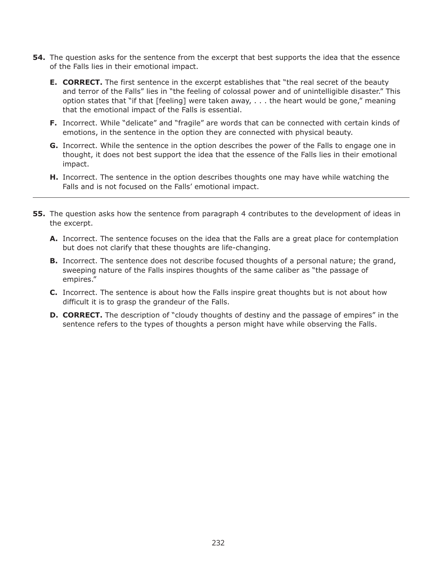- **54.** The question asks for the sentence from the excerpt that best supports the idea that the essence of the Falls lies in their emotional impact.
	- **E. CORRECT.** The first sentence in the excerpt establishes that "the real secret of the beauty and terror of the Falls" lies in "the feeling of colossal power and of unintelligible disaster." This option states that "if that [feeling] were taken away,  $\ldots$  the heart would be gone," meaning that the emotional impact of the Falls is essential.
	- **F.** Incorrect. While "delicate" and "fragile" are words that can be connected with certain kinds of emotions, in the sentence in the option they are connected with physical beauty.
	- **G.** Incorrect. While the sentence in the option describes the power of the Falls to engage one in thought, it does not best support the idea that the essence of the Falls lies in their emotional impact.
	- **H.** Incorrect. The sentence in the option describes thoughts one may have while watching the Falls and is not focused on the Falls' emotional impact.
- **55.** The question asks how the sentence from paragraph 4 contributes to the development of ideas in the excerpt.
	- **A.** Incorrect. The sentence focuses on the idea that the Falls are a great place for contemplation but does not clarify that these thoughts are life-changing.
	- **B.** Incorrect. The sentence does not describe focused thoughts of a personal nature; the grand, sweeping nature of the Falls inspires thoughts of the same caliber as "the passage of empires."
	- **C.** Incorrect. The sentence is about how the Falls inspire great thoughts but is not about how difficult it is to grasp the grandeur of the Falls.
	- **D. CORRECT.** The description of "cloudy thoughts of destiny and the passage of empires" in the sentence refers to the types of thoughts a person might have while observing the Falls.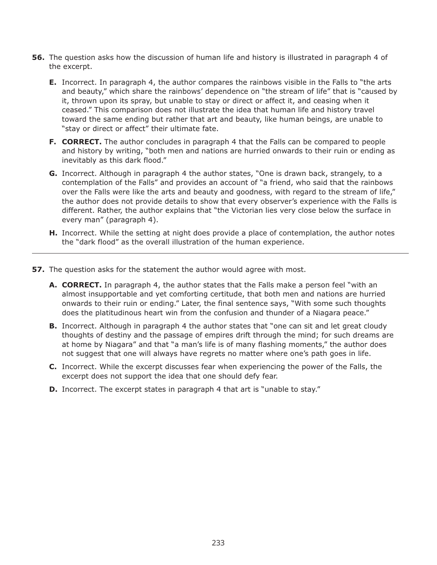- **56.** The question asks how the discussion of human life and history is illustrated in paragraph 4 of the excerpt.
	- **E.** Incorrect. In paragraph 4, the author compares the rainbows visible in the Falls to "the arts and beauty," which share the rainbows' dependence on "the stream of life" that is "caused by it, thrown upon its spray, but unable to stay or direct or affect it, and ceasing when it ceased." This comparison does not illustrate the idea that human life and history travel toward the same ending but rather that art and beauty, like human beings, are unable to "stay or direct or affect" their ultimate fate.
	- **F. CORRECT.** The author concludes in paragraph 4 that the Falls can be compared to people and history by writing, "both men and nations are hurried onwards to their ruin or ending as inevitably as this dark flood."
	- **G.** Incorrect. Although in paragraph 4 the author states, "One is drawn back, strangely, to a contemplation of the Falls" and provides an account of "a friend, who said that the rainbows over the Falls were like the arts and beauty and goodness, with regard to the stream of life," the author does not provide details to show that every observer's experience with the Falls is different. Rather, the author explains that "the Victorian lies very close below the surface in every man" (paragraph 4).
	- **H.** Incorrect. While the setting at night does provide a place of contemplation, the author notes the "dark flood" as the overall illustration of the human experience.
- **57.** The question asks for the statement the author would agree with most.
	- **A. CORRECT.** In paragraph 4, the author states that the Falls make a person feel "with an almost insupportable and yet comforting certitude, that both men and nations are hurried onwards to their ruin or ending." Later, the final sentence says, "With some such thoughts does the platitudinous heart win from the confusion and thunder of a Niagara peace."
	- **B.** Incorrect. Although in paragraph 4 the author states that "one can sit and let great cloudy thoughts of destiny and the passage of empires drift through the mind; for such dreams are at home by Niagara" and that "a man's life is of many flashing moments," the author does not suggest that one will always have regrets no matter where one's path goes in life.
	- **C.** Incorrect. While the excerpt discusses fear when experiencing the power of the Falls, the excerpt does not support the idea that one should defy fear.
	- **D.** Incorrect. The excerpt states in paragraph 4 that art is "unable to stay."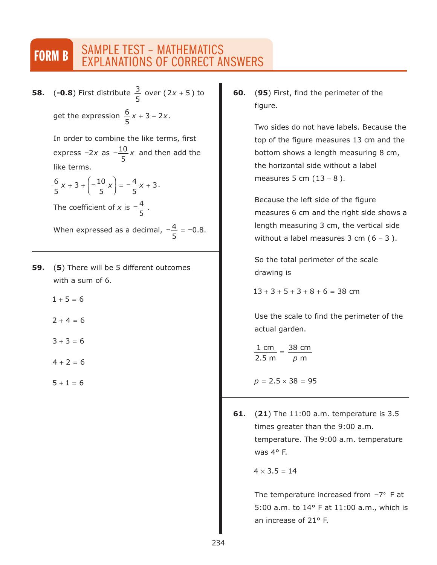# FORM B SAMPLE TEST - MATHEMATICS EXPLANATIONS OF CORRECT ANSWERS

**58.** (-0.8) First distribute  $\frac{3}{5}$  over (2x + 5) to get the expression  $\frac{6}{5}x + 3 - 2x$ . 5  $2x + 5$ 5  $3 - 2$ 

> In order to combine the like terms, first express  $-2x$  as  $-\frac{10}{x}x$  and then add the like terms. 5

$$
\frac{6}{5}x + 3 + \left(-\frac{10}{5}x\right) = -\frac{4}{5}x + 3.
$$

The coefficient of *x* is  $-\frac{4}{7}$ . 5

When expressed as a decimal,  $-\frac{4}{7}$  = -0.8. 5 0.8

- **59.** (**5**) There will be 5 different outcomes with a sum of 6.
	- $1 + 5 = 6$
	- $2 + 4 = 6$
	- $3 + 3 = 6$
	- $4 + 2 = 6$
	- $5 + 1 = 6$

**60.** (**95**) First, find the perimeter of the figure.

> Two sides do not have labels. Because the top of the figure measures 13 cm and the bottom shows a length measuring 8 cm, the horizontal side without a label measures 5 cm  $(13 - 8)$ .

> Because the left side of the figure measures 6 cm and the right side shows a length measuring 3 cm, the vertical side without a label measures  $3$  cm (6 – 3).

So the total perimeter of the scale drawing is

 $13 + 3 + 5 + 3 + 8 + 6 = 38$  cm

Use the scale to find the perimeter of the actual garden.

$$
\frac{1 \text{ cm}}{2.5 \text{ m}} = \frac{38 \text{ cm}}{p \text{ m}}
$$

 $p = 2.5 \times 38 = 95$ 

**61.** (**21**) The 11:00 a.m. temperature is 3.5 times greater than the 9:00 a.m. temperature. The 9:00 a.m. temperature was 4° F.

 $4 \times 3.5 = 14$ 

The temperature increased from  $\neg$ <sup>o</sup> F at 5:00 a.m. to 14° F at 11:00 a.m., which is an increase of 21° F.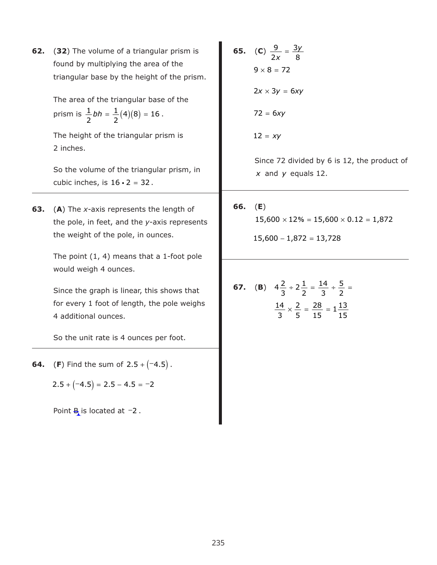**62.** (**32**) The volume of a triangular prism is found by multiplying the area of the triangular base by the height of the prism.

> The area of the triangular base of the prism is  $\frac{1}{2}bh = \frac{1}{2}(4)(8) = 16$ . 2 1 2 *bh* =  $\frac{1}{2}(4)(8) = 16$

The height of the triangular prism is 2 inches.

So the volume of the triangular prism, in cubic inches, is  $16 \cdot 2 = 32$ .

**63.** (**A**) The *x-*axis represents the length of the pole, in feet, and the *y*-axis represents the weight of the pole, in ounces.

> The point (1, 4) means that a 1-foot pole would weigh 4 ounces.

Since the graph is linear, this shows that for every 1 foot of length, the pole weighs 4 additional ounces.

So the unit rate is 4 ounces per foot.

**64.** (F) Find the sum of  $2.5 + (-4.5)$ .

 $2.5 + (-4.5) = 2.5 - 4.5 = -2$ 

Point  $B<sub>i</sub>$  is located at  $-2$ .

**65.** (C) 
$$
\frac{9}{2x} = \frac{3y}{8}
$$
  
\n $9 \times 8 = 72$   
\n $2x \times 3y = 6xy$   
\n $72 = 6xy$   
\n $12 = xy$ 

Since 72 divided by 6 is 12, the product of  $x$  and  $y$  equals 12.

**66.** (**E**)  $15,600 \times 12\% = 15,600 \times 0.12 = 1,872$ 

 $15,600 - 1,872 = 13,728$ 

**67.** (**B**) 
$$
4\frac{2}{3} \div 2\frac{1}{2} = \frac{14}{3} \div \frac{5}{2} =
$$
  

$$
\frac{14}{3} \times \frac{2}{5} = \frac{28}{15} = 1\frac{13}{15}
$$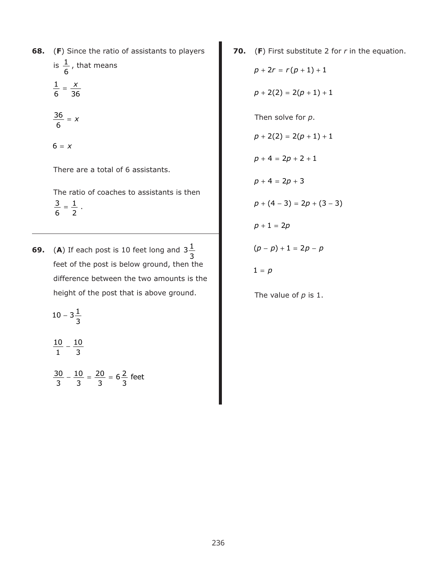**68.** (**F**) Since the ratio of assistants to players

means

is 
$$
\frac{1}{6}
$$
, that  
 $\frac{1}{6} = \frac{x}{36}$ 

 $\frac{36}{7}$  = *x* 6

 $6 = x$ 

There are a total of 6 assistants.

The ratio of coaches to assistants is then  $\frac{3}{2} = \frac{1}{2}$ . 6 1 2

- **69.** (A) If each post is 10 feet long and  $3\frac{1}{2}$ feet of the post is below ground, then the difference between the two amounts is the height of the post that is above ground. 3
	- $10 3\frac{1}{2}$ 3

 $\frac{10}{4}$  – 1 10 3

 $\frac{30}{2} - \frac{10}{2} = \frac{20}{2} =$ 3 10 3 20 3  $6\frac{2}{5}$ 3 feet **70.** (**F**) First substitute 2 for *r* in the equation. Then solve for *p*. The value of *p* is 1.  $p + 2r = r(p + 1) + 1$  $p + 2(2) = 2(p + 1) + 1$  $p + 2(2) = 2(p + 1) + 1$  $p + 4 = 2p + 2 + 1$  $p + 4 = 2p + 3$  $p + (4-3) = 2p + (3-3)$  $p + 1 = 2p$  $(p-p) + 1 = 2p - p$  $1 = p$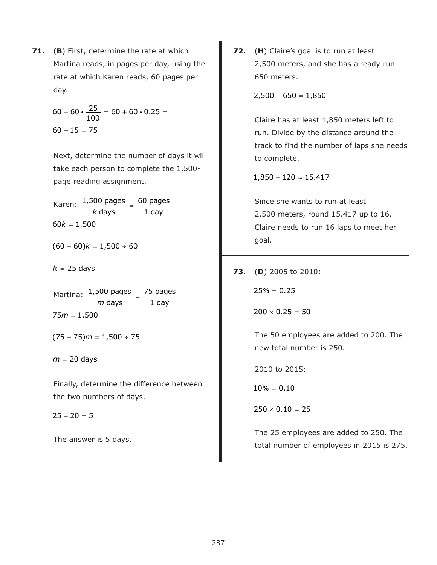**71.** (**B**) First, determine the rate at which Martina reads, in pages per day, using the rate at which Karen reads, 60 pages per day.

$$
60 + 60 \cdot \frac{25}{100} = 60 + 60 \cdot 0.25 =
$$
  

$$
60 + 15 = 75
$$

Next, determine the number of days it will take each person to complete the 1,500 page reading assignment.

Karen:  $\frac{1,500 \text{ pages}}{k \text{ days}} =$  days 60 pages 1 day  $60k = 1,500$ 

 $(60 \div 60)k = 1,500 \div 60$ 

 $k = 25$  days

Martina:  $\frac{1,500 \text{ pages}}{m \text{ days}} =$  days 75 pages 1 day  $75m = 1,500$ 

 $(75 \div 75)$  m = 1,500  $\div 75$ 

*m* = 20 days

Finally, determine the difference between the two numbers of days.

 $25 - 20 = 5$ 

The answer is 5 days.

**72.** (**H**) Claire's goal is to run at least 2,500 meters, and she has already run 650 meters.

 $2,500 - 650 = 1,850$ 

Claire has at least 1,850 meters left to run. Divide by the distance around the track to find the number of laps she needs to complete.

 $1,850 \div 120 \approx 15.417$ 

Since she wants to run at least 2,500 meters, round 15.417 up to 16. Claire needs to run 16 laps to meet her goal.

**73.** (**D**) 2005 to 2010:

 $25% = 0.25$ 

 $200 \times 0.25 = 50$ 

The 50 employees are added to 200. The new total number is 250.

2010 to 2015:

 $10\% = 0.10$ 

 $250 \times 0.10 = 25$ 

The 25 employees are added to 250. The total number of employees in 2015 is 275.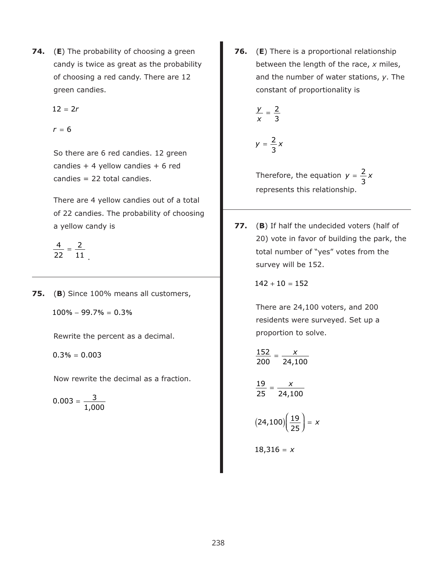**74.** (**E**) The probability of choosing a green candy is twice as great as the probability of choosing a red candy. There are 12 green candies.

 $12 = 2r$ 

 $r = 6$ 

So there are 6 red candies. 12 green candies  $+4$  yellow candies  $+6$  red candies = 22 total candies.

There are 4 yellow candies out of a total of 22 candies. The probability of choosing a yellow candy is

$$
\frac{4}{22}=\frac{2}{11}
$$

**75.** (**B**) Since 100% means all customers,

 $100\% - 99.7\% = 0.3\%$ 

.

Rewrite the percent as a decimal.

 $0.3\% = 0.003$ 

Now rewrite the decimal as a fraction.

$$
0.003 = \frac{3}{1,000}
$$

**76.** (**E**) There is a proportional relationship between the length of the race, *x* miles, and the number of water stations, *y*. The constant of proportionality is

$$
\frac{y}{x} = \frac{2}{3}
$$

$$
y=\frac{2}{3}x
$$

Therefore, the equation  $y = \frac{2}{3}x$ represents this relationship. 3

**77.** (**B**) If half the undecided voters (half of 20) vote in favor of building the park, the total number of "yes" votes from the survey will be 152.

 $142 + 10 = 152$ 

There are 24,100 voters, and 200 residents were surveyed. Set up a proportion to solve.

$$
\frac{152}{200} = \frac{x}{24,100}
$$

 $\frac{19}{27} = \frac{x}{20}$ 25 24,100

$$
(24,100)\left(\frac{19}{25}\right)=x
$$

 $18,316 = x$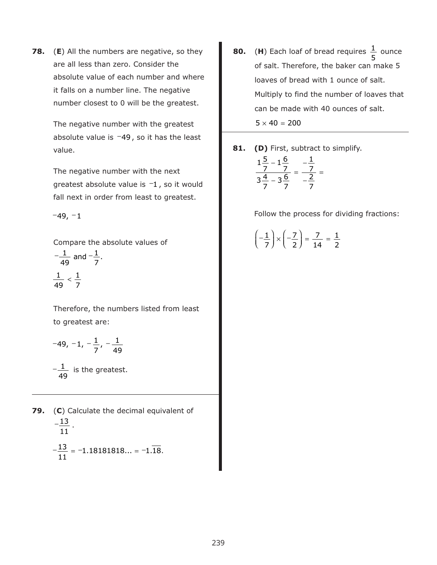**78.** (**E**) All the numbers are negative, so they are all less than zero. Consider the absolute value of each number and where it falls on a number line. The negative number closest to 0 will be the greatest.

> The negative number with the greatest absolute value is  $-49$ , so it has the least value.

The negative number with the next greatest absolute value is  $-1$ , so it would fall next in order from least to greatest.

 $-49, -1$ 

Compare the absolute values of

$$
-\frac{1}{49} \text{ and } -\frac{1}{7}.
$$
  

$$
\frac{1}{49} < \frac{1}{7}
$$

Therefore, the numbers listed from least to greatest are:

$$
-49, -1, -\frac{1}{7}, -\frac{1}{49}
$$

 $-\frac{1}{12}$  is the greatest. 49

**79.** (**C**) Calculate the decimal equivalent of  $-\frac{13}{4}$ .  $-\frac{13}{4}$  =  $-1.18181818... = -1.\overline{18}.$ 11 11  $1.18181818... = -1.18$ 

**80.** (H) Each loaf of bread requires  $\frac{1}{2}$  ounce of salt. Therefore, the baker can make 5 loaves of bread with 1 ounce of salt. Multiply to find the number of loaves that can be made with 40 ounces of salt. 5  $5 \times 40 = 200$ 

**81. (D)** First, subtract to simplify.

$$
\frac{1\frac{5}{7} - 1\frac{6}{7}}{3\frac{4}{7} - 3\frac{6}{7}} = \frac{-\frac{1}{7}}{-\frac{2}{7}} =
$$

Follow the process for dividing fractions:

$$
\left(-\frac{1}{7}\right) \times \left(-\frac{7}{2}\right) = \frac{7}{14} = \frac{1}{2}
$$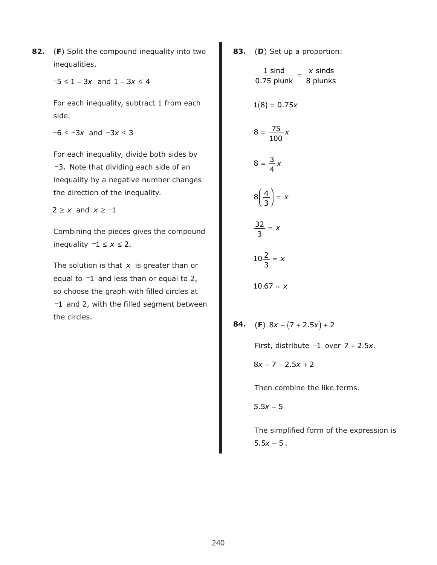**82.** (**F**) Split the compound inequality into two inequalities.

 $-5 \le 1 - 3x$  and  $1 - 3x \le 4$ 

For each inequality, subtract 1 from each side.

 $-6 \le -3x$  and  $-3x \le 3$ 

For each inequality, divide both sides by −3. Note that dividing each side of an inequality by a negative number changes the direction of the inequality.

 $2 \geq x$  and  $x \geq -1$ 

Combining the pieces gives the compound inequality  $-1 \le x \le 2$ .

The solution is that x is greater than or equal to  $-1$  and less than or equal to 2, so choose the graph with filled circles at −1 and 2, with the filled segment between the circles.

**83.** (**D**) Set up a proportion:

$$
\frac{1 \text{ sind}}{0.75 \text{ plunk}} = \frac{x \text{ sinds}}{8 \text{ plunks}}
$$
\n
$$
1(8) = 0.75x
$$
\n
$$
8 = \frac{75}{100}x
$$
\n
$$
8 = \frac{3}{4}x
$$
\n
$$
8\left(\frac{4}{3}\right) = x
$$
\n
$$
\frac{32}{3} = x
$$
\n
$$
10\frac{2}{3} = x
$$
\n
$$
10.67 \approx x
$$

**84.** (**F**)  $8x - (7 + 2.5x) + 2$ 

First, distribute  $-1$  over  $7 + 2.5x$ .

 $8x - 7 - 2.5x + 2$ 

Then combine the like terms.

 $5.5x - 5$ 

The simplified form of the expression is  $5.5x - 5$  .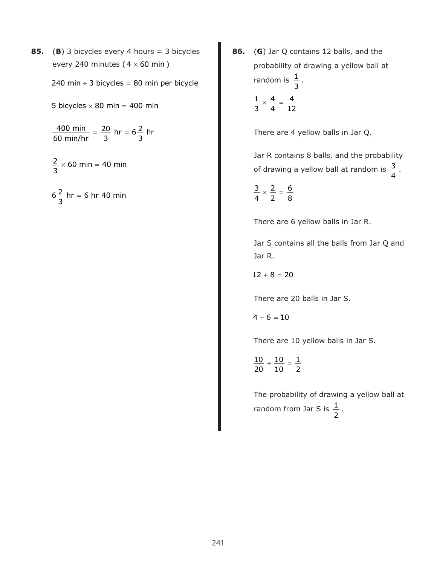**85.** (**B**) 3 bicycles every 4 hours = 3 bicycles every 240 minutes ( $4 \times 60$  min)

240 min  $\div$  3 bicycles = 80 min per bicycle

5 bicycles  $\times$  80 min = 400 min

 $\frac{400 \text{ min}}{2} = \frac{20}{5}$  hr = 60 min/hr 20 3 hr =  $6\frac{2}{3}$ 3 hr

 $\frac{2}{1}$  × 60 min = 3 60 min 40 min

 $6\frac{2}{5}$  hr = 3 hr = 6 hr 40 min **86.** (**G**) Jar Q contains 12 balls, and the probability of drawing a yellow ball at random is  $\frac{1}{2}$ . 3

$$
\frac{1}{3} \times \frac{4}{4} = \frac{4}{12}
$$

There are 4 yellow balls in Jar Q.

Jar R contains 8 balls, and the probability of drawing a yellow ball at random is  $\frac{3}{4}$ . 4

 $\frac{3}{1} \times \frac{2}{1} =$ 4 2 2 6 8

There are 6 yellow balls in Jar R.

Jar S contains all the balls from Jar Q and Jar R.

 $12 + 8 = 20$ 

There are 20 balls in Jar S.

 $4 + 6 = 10$ 

There are 10 yellow balls in Jar S.

 $\frac{10}{20} \div \frac{10}{10} =$ 20 10 10 1 2

The probability of drawing a yellow ball at random from Jar S is  $\frac{1}{1}$ . 2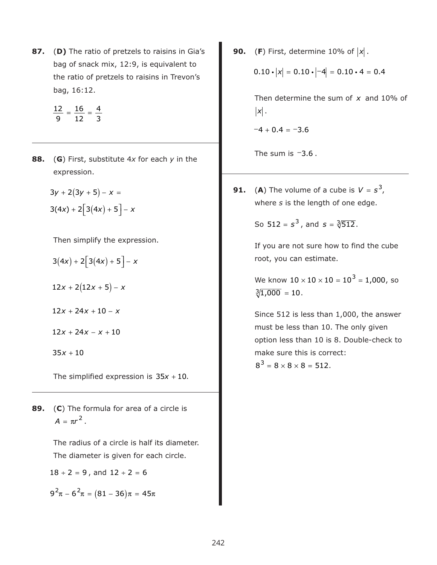**87.** (**D)** The ratio of pretzels to raisins in Gia's bag of snack mix, 12:9, is equivalent to the ratio of pretzels to raisins in Trevon's bag, 16:12.

$$
\frac{12}{9} = \frac{16}{12} = \frac{4}{3}
$$

**88.** (**G**) First, substitute 4*x* for each *y* in the expression.

$$
3y + 2(3y + 5) - x =
$$
  
3(4x) + 2[3(4x) + 5] - x

Then simplify the expression.

$$
3(4x) + 2[3(4x) + 5] - x
$$
  

$$
12x + 2(12x + 5) - x
$$
  

$$
12x + 24x + 10 - x
$$
  

$$
12x + 24x - x + 10
$$

 $35x + 10$ 

The simplified expression is  $35x + 10$ .

**89.** (**C**) The formula for area of a circle is  $A = \pi r^2$ .

> The radius of a circle is half its diameter. The diameter is given for each circle.

 $18 \div 2 = 9$ , and  $12 \div 2 = 6$ 

 $9^2\pi - 6^2\pi = (81 - 36)\pi = 45\pi$ 

**90.** (**F**) First, determine 10% of  $|x|$ .

$$
0.10 \cdot |x| = 0.10 \cdot |-4| = 0.10 \cdot 4 = 0.4
$$

Then determine the sum of x and 10% of . *x*

 $-4 + 0.4 = -3.6$ 

The sum is  $-3.6$ .

**91.** (A) The volume of a cube is  $V = s^3$ , where *s* is the length of one edge.

So 512 =  $s^3$ , and  $s = \sqrt[3]{512}$ .

If you are not sure how to find the cube root, you can estimate.

We know  $10 \times 10 \times 10 = 10^3 = 1,000$ , so  $\sqrt[3]{1,000} = 10$ .

Since 512 is less than 1,000, the answer must be less than 10. The only given option less than 10 is 8. Double-check to make sure this is correct:

 $8^3 = 8 \times 8 \times 8 = 512.$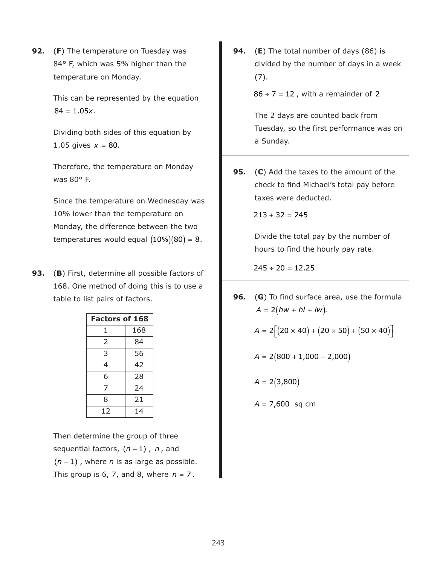**92.** (**F**) The temperature on Tuesday was 84° F, which was 5% higher than the temperature on Monday.

> This can be represented by the equation  $84 = 1.05x.$

Dividing both sides of this equation by 1.05 gives  $x = 80$ .

Therefore, the temperature on Monday was 80° F.

Since the temperature on Wednesday was 10% lower than the temperature on Monday, the difference between the two temperatures would equal  $(10\%) (80) = 8.$ 

**93.** (**B**) First, determine all possible factors of 168. One method of doing this is to use a table to list pairs of factors.

| <b>Factors of 168</b> |     |  |  |  |  |
|-----------------------|-----|--|--|--|--|
| 1                     | 168 |  |  |  |  |
| 2                     | 84  |  |  |  |  |
| 3                     | 56  |  |  |  |  |
| 4                     | 42  |  |  |  |  |
| 6                     | 28  |  |  |  |  |
| 7                     | 24  |  |  |  |  |
| 8                     | 21  |  |  |  |  |
| 12                    | 14  |  |  |  |  |

Then determine the group of three sequential factors,  $(n-1)$  , n, and  $(n + 1)$ , where *n* is as large as possible. This group is 6, 7, and 8, where *n* = 7.

**94.** (**E**) The total number of days (86) is divided by the number of days in a week (7).

 $86 \div 7 = 12$  , with a remainder of 2

The 2 days are counted back from Tuesday, so the first performance was on a Sunday.

**95.** (**C**) Add the taxes to the amount of the check to find Michael's total pay before taxes were deducted.

 $213 + 32 = 245$ 

Divide the total pay by the number of hours to find the hourly pay rate.

 $245 \div 20 = 12.25$ 

**96.** (**G**) To find surface area, use the formula  $A = 2(hw + hl + lw).$ 

$$
A = 2[(20 \times 40) + (20 \times 50) + (50 \times 40)]
$$

$$
A = 2(800 + 1,000 + 2,000)
$$

 $A = 2(3,800)$ 

*A* = 7,600 sq cm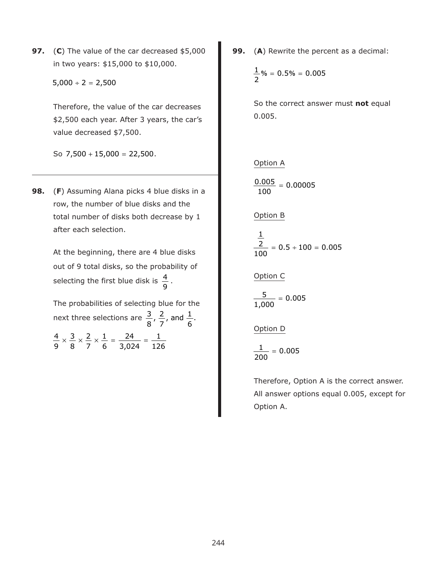**97.** (**C**) The value of the car decreased \$5,000 in two years: \$15,000 to \$10,000.

 $5,000 \div 2 = 2,500$ 

Therefore, the value of the car decreases \$2,500 each year. After 3 years, the car's value decreased \$7,500.

So 7,500 + 15,000 = 22,500.

**98.** (**F**) Assuming Alana picks 4 blue disks in a row, the number of blue disks and the total number of disks both decrease by 1 after each selection.

> At the beginning, there are 4 blue disks out of 9 total disks, so the probability of selecting the first blue disk is  $\frac{4}{5}$ . 9

> The probabilities of selecting blue for the next three selections are  $\frac{3}{8}, \frac{2}{7}$ , and  $\frac{1}{6}$ .

 $\frac{4}{2} \times \frac{3}{2} \times \frac{2}{2} \times \frac{1}{4} = \frac{24}{2224} =$ 9 3 8 2 7 1 6 24 3,024 1 126 **99.** (**A**) Rewrite the percent as a decimal:

$$
\frac{1}{2}\% = 0.5\% = 0.005
$$

So the correct answer must **not** equal 0.005.

## Option A

 $\frac{0.005}{1.005}$  = 100 0.00005

Option B

 $= 0.5 \div 100 =$ 1 2 100  $0.5 \div 100 = 0.005$ 

## Option C

 $\frac{5}{200}$  = 1,000 0.005

Option D

$$
\frac{1}{200} = 0.005
$$

Therefore, Option A is the correct answer. All answer options equal 0.005, except for Option A.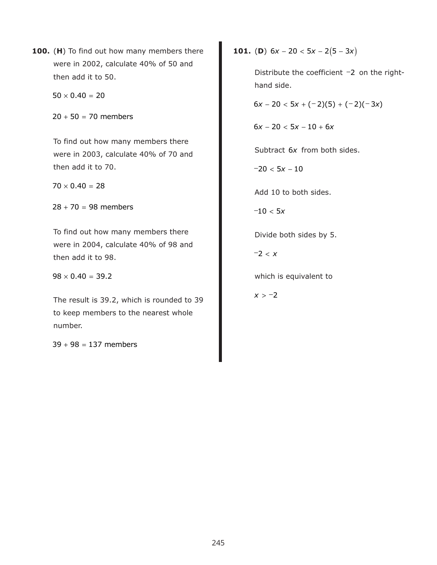**100.** (**H**) To find out how many members there were in 2002, calculate 40% of 50 and then add it to 50.

 $50 \times 0.40 = 20$ 

 $20 + 50 = 70$  members

To find out how many members there were in 2003, calculate 40% of 70 and then add it to 70.

 $70 \times 0.40 = 28$ 

 $28 + 70 = 98$  members

To find out how many members there were in 2004, calculate 40% of 98 and then add it to 98.

 $98 \times 0.40 = 39.2$ 

The result is 39.2, which is rounded to 39 to keep members to the nearest whole number.

 $39 + 98 = 137$  members

**101.** (**D**)  $6x - 20 < 5x - 2(5 - 3x)$ 

Distribute the coefficient -2 on the righthand side.

 $6x - 20 < 5x + (-2)(5) + (-2)(-3x)$ 

 $6x - 20 < 5x - 10 + 6x$ 

Subtract 6x from both sides.

 $-20 < 5x - 10$ 

Add 10 to both sides.

 $-10 < 5x$ 

Divide both sides by 5.

−2 < *x*

which is equivalent to

*x* > −2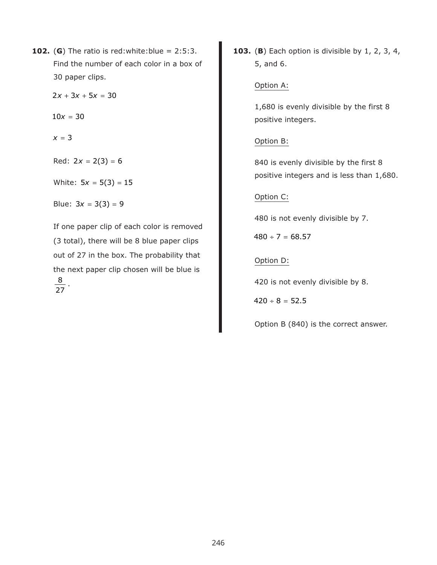**102.** (G) The ratio is red:white:blue =  $2:5:3$ . Find the number of each color in a box of 30 paper clips.

 $2x + 3x + 5x = 30$ 

 $10x = 30$ 

*x* = 3

 $Red: 2x = 2(3) = 6$ 

White: 5*x* = 5(3) = 15

Blue:  $3x = 3(3) = 9$ 

If one paper clip of each color is removed (3 total), there will be 8 blue paper clips out of 27 in the box. The probability that the next paper clip chosen will be blue is  $\frac{8}{1}$  .

27

**103.** (**B**) Each option is divisible by 1, 2, 3, 4, 5, and 6.

## Option A:

1,680 is evenly divisible by the first 8 positive integers.

# Option B:

840 is evenly divisible by the first 8 positive integers and is less than 1,680.

# Option C:

480 is not evenly divisible by 7.

 $480 \div 7 = 68.57$ 

# Option D:

420 is not evenly divisible by 8.

 $420 \div 8 = 52.5$ 

Option B (840) is the correct answer.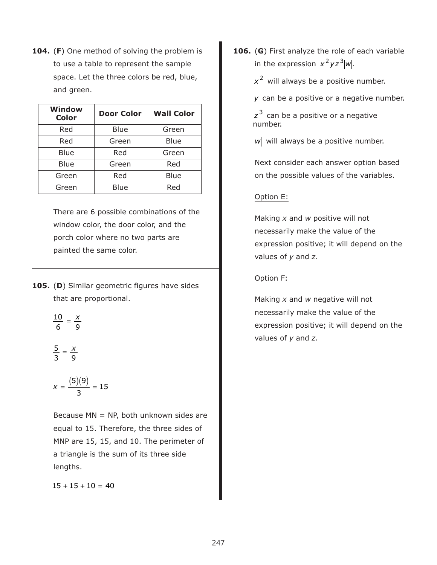**104.** (**F**) One method of solving the problem is to use a table to represent the sample space. Let the three colors be red, blue, and green.

| <b>Window</b><br><b>Color</b> | <b>Door Color</b> | <b>Wall Color</b> |  |  |
|-------------------------------|-------------------|-------------------|--|--|
| Red                           | Blue              | Green             |  |  |
| Red                           | Green             | Blue              |  |  |
| Blue                          | Red               | Green             |  |  |
| Blue                          | Green             | Red               |  |  |
| Green                         | Red               | Blue              |  |  |
| Green                         | Blue              | Red               |  |  |

There are 6 possible combinations of the window color, the door color, and the porch color where no two parts are painted the same color.

- **105.** (**D**) Similar geometric figures have sides that are proportional.
	- $\frac{10}{1}$  =  $\frac{x}{x}$ 6 9
	- $\frac{5}{2} = \frac{x}{2}$ 3 9

$$
x = \frac{(5)(9)}{3} = 15
$$

Because  $MN = NP$ , both unknown sides are equal to 15. Therefore, the three sides of MNP are 15, 15, and 10. The perimeter of a triangle is the sum of its three side lengths.

 $15 + 15 + 10 = 40$ 

**106.** (**G**) First analyze the role of each variable in the expression  $x^2yz^3|w|$ .

x<sup>2</sup> will always be a positive number.

can be a positive or a negative number. *y*

z<sup>3</sup> can be a positive or a negative number.

w will always be a positive number.

Next consider each answer option based on the possible values of the variables.

# Option E:

Making *x* and *w* positive will not necessarily make the value of the expression positive; it will depend on the values of *y* and *z*.

# Option F:

Making *x* and *w* negative will not necessarily make the value of the expression positive; it will depend on the values of *y* and *z*.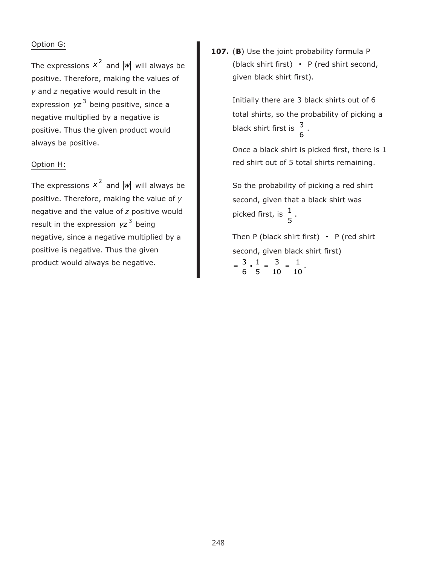#### Option G:

The expressions  $x^2$  and  $|w|$  will always be positive. Therefore, making the values of *y* and *z* negative would result in the expression yz<sup>3</sup> being positive, since a negative multiplied by a negative is positive. Thus the given product would always be positive.

#### Option H:

The expressions  $x^2$  and  $|w|$  will always be positive. Therefore, making the value of *y* negative and the value of *z* positive would result in the expression yz<sup>3</sup> being negative, since a negative multiplied by a positive is negative. Thus the given product would always be negative.

**107.** (**B**) Use the joint probability formula P (black shirt first)  $\cdot$  P (red shirt second, given black shirt first).

> Initially there are 3 black shirts out of 6 total shirts, so the probability of picking a black shirt first is  $\frac{3}{5}$ . 6

Once a black shirt is picked first, there is 1 red shirt out of 5 total shirts remaining.

So the probability of picking a red shirt second, given that a black shirt was picked first, is  $\frac{1}{\cdot}$  . 5

Then P (black shirt first)  $\cdot$  P (red shirt second, given black shirt first)  $=\frac{3}{2}\cdot\frac{1}{2}=\frac{3}{2}=$ 6 1 5 3 10  $\cdot \frac{1}{5} = \frac{3}{10} = \frac{1}{10}.$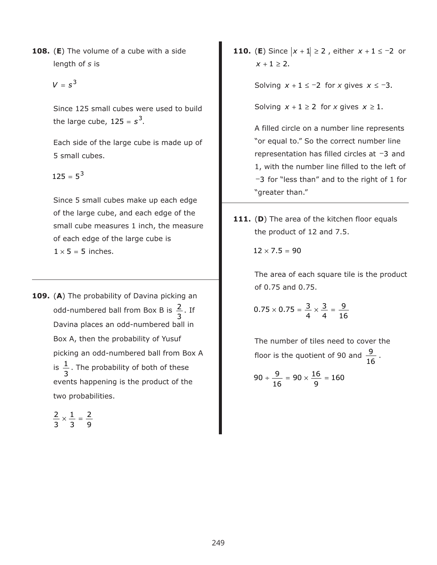- **108.** (**E**) The volume of a cube with a side length of *s* is
	- $V = s^3$

Since 125 small cubes were used to build the large cube,  $125 = s^3$ .

Each side of the large cube is made up of 5 small cubes.

 $125 = 5^3$ 

Since 5 small cubes make up each edge of the large cube, and each edge of the small cube measures 1 inch, the measure of each edge of the large cube is  $1 \times 5 = 5$  inches.

**109.** (**A**) The probability of Davina picking an odd-numbered ball from Box B is  $\frac{2}{5}$ . If Davina places an odd-numbered ball in Box A, then the probability of Yusuf picking an odd-numbered ball from Box A is  $\frac{1}{2}$ . The probability of both of these events happening is the product of the two probabilities. 3 3

$$
\frac{2}{3} \times \frac{1}{3} = \frac{2}{9}
$$

**110.** (**E**) Since  $|x + 1| \ge 2$ , either  $x + 1 \le -2$  or  $x + 1 \ge 2$ .

Solving  $x + 1 \le -2$  for *x* gives  $x \le -3$ .

Solving  $x + 1 \ge 2$  for *x* gives  $x \ge 1$ .

A filled circle on a number line represents "or equal to." So the correct number line representation has filled circles at -3 and 1, with the number line filled to the left of −3 for "less than" and to the right of 1 for "greater than."

111. (D) The area of the kitchen floor equals the product of 12 and 7.5.

$$
12\times7.5=90
$$

The area of each square tile is the product of 0.75 and 0.75.

$$
0.75 \times 0.75 = \frac{3}{4} \times \frac{3}{4} = \frac{9}{16}
$$

The number of tiles need to cover the floor is the quotient of 90 and  $\frac{9}{15}$ . 16

$$
90 \div \frac{9}{16} = 90 \times \frac{16}{9} = 160
$$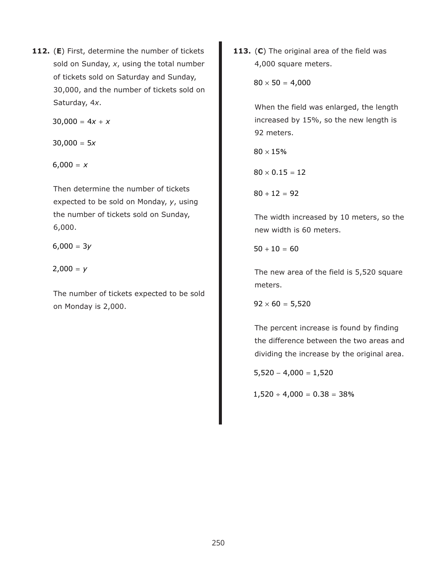**112.** (**E**) First, determine the number of tickets sold on Sunday, *x*, using the total number of tickets sold on Saturday and Sunday, 30,000, and the number of tickets sold on Saturday, 4*x*.

 $30,000 = 4x + x$ 

 $30,000 = 5x$ 

 $6,000 = x$ 

Then determine the number of tickets expected to be sold on Monday, *y*, using the number of tickets sold on Sunday, 6,000.

 $6,000 = 3y$ 

 $2,000 = y$ 

The number of tickets expected to be sold on Monday is 2,000.

**113.** (**C**) The original area of the field was 4,000 square meters.

 $80 \times 50 = 4,000$ 

When the field was enlarged, the length increased by 15%, so the new length is 92 meters.

 $80 \times 15\%$ 

 $80 \times 0.15 = 12$ 

 $80 + 12 = 92$ 

The width increased by 10 meters, so the new width is 60 meters.

 $50 + 10 = 60$ 

The new area of the field is 5,520 square meters.

 $92 \times 60 = 5,520$ 

The percent increase is found by finding the difference between the two areas and dividing the increase by the original area.

 $5,520 - 4,000 = 1,520$ 

 $1,520 \div 4,000 = 0.38 = 38\%$